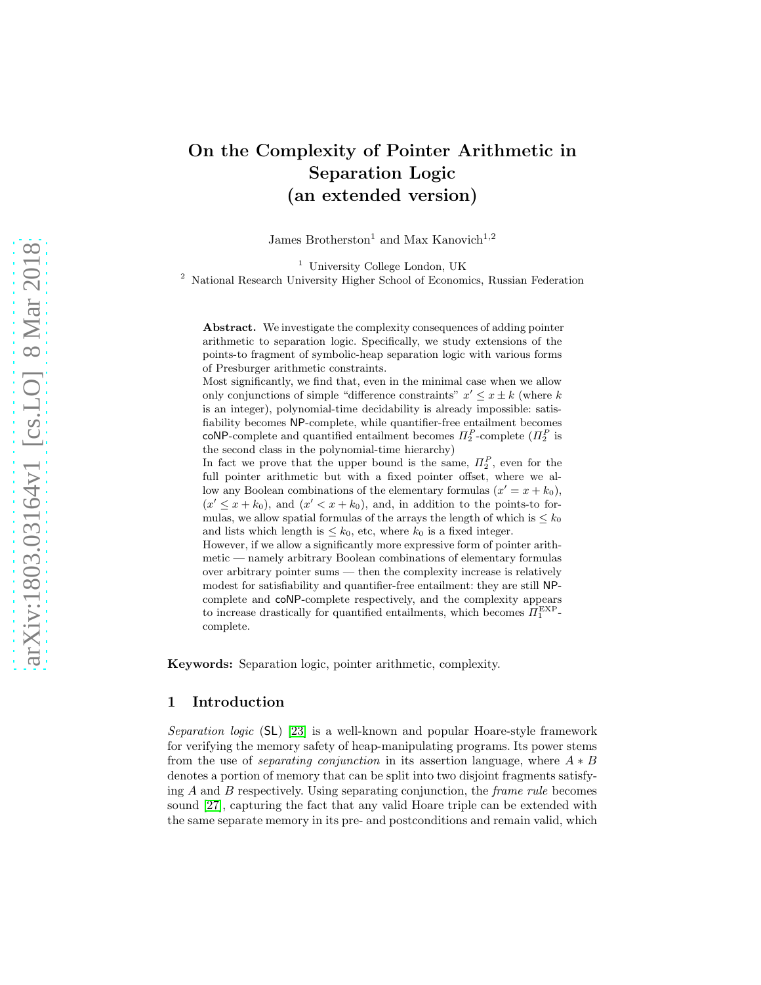# On the Complexity of Pointer Arithmetic in Separation Logic (an extended version)

James Brotherston<sup>1</sup> and Max Kanovich<sup>1,2</sup>

<sup>1</sup> University College London, UK

<sup>2</sup> National Research University Higher School of Economics, Russian Federation

Abstract. We investigate the complexity consequences of adding pointer arithmetic to separation logic. Specifically, we study extensions of the points-to fragment of symbolic-heap separation logic with various forms of Presburger arithmetic constraints.

Most significantly, we find that, even in the minimal case when we allow only conjunctions of simple "difference constraints"  $x' \leq x \pm k$  (where k is an integer), polynomial-time decidability is already impossible: satisfiability becomes NP-complete, while quantifier-free entailment becomes coNP-complete and quantified entailment becomes  $\Pi_2^P$ -complete  $(\Pi_2^P)$  is the second class in the polynomial-time hierarchy)

In fact we prove that the upper bound is the same,  $\Pi_2^P$ , even for the full pointer arithmetic but with a fixed pointer offset, where we allow any Boolean combinations of the elementary formulas  $(x' = x + k_0)$ ,  $(x' \leq x + k_0)$ , and  $(x' < x + k_0)$ , and, in addition to the points-to formulas, we allow spatial formulas of the arrays the length of which is  $\leq k_0$ and lists which length is  $\leq k_0$ , etc, where  $k_0$  is a fixed integer.

However, if we allow a significantly more expressive form of pointer arithmetic — namely arbitrary Boolean combinations of elementary formulas over arbitrary pointer sums — then the complexity increase is relatively modest for satisfiability and quantifier-free entailment: they are still NPcomplete and coNP-complete respectively, and the complexity appears to increase drastically for quantified entailments, which becomes  $\overline{H_1^{\text{EXP}}}$ complete.

Keywords: Separation logic, pointer arithmetic, complexity.

### 1 Introduction

Separation logic (SL) [\[23\]](#page-21-0) is a well-known and popular Hoare-style framework for verifying the memory safety of heap-manipulating programs. Its power stems from the use of *separating conjunction* in its assertion language, where  $A * B$ denotes a portion of memory that can be split into two disjoint fragments satisfying  $A$  and  $B$  respectively. Using separating conjunction, the *frame rule* becomes sound [\[27\]](#page-21-1), capturing the fact that any valid Hoare triple can be extended with the same separate memory in its pre- and postconditions and remain valid, which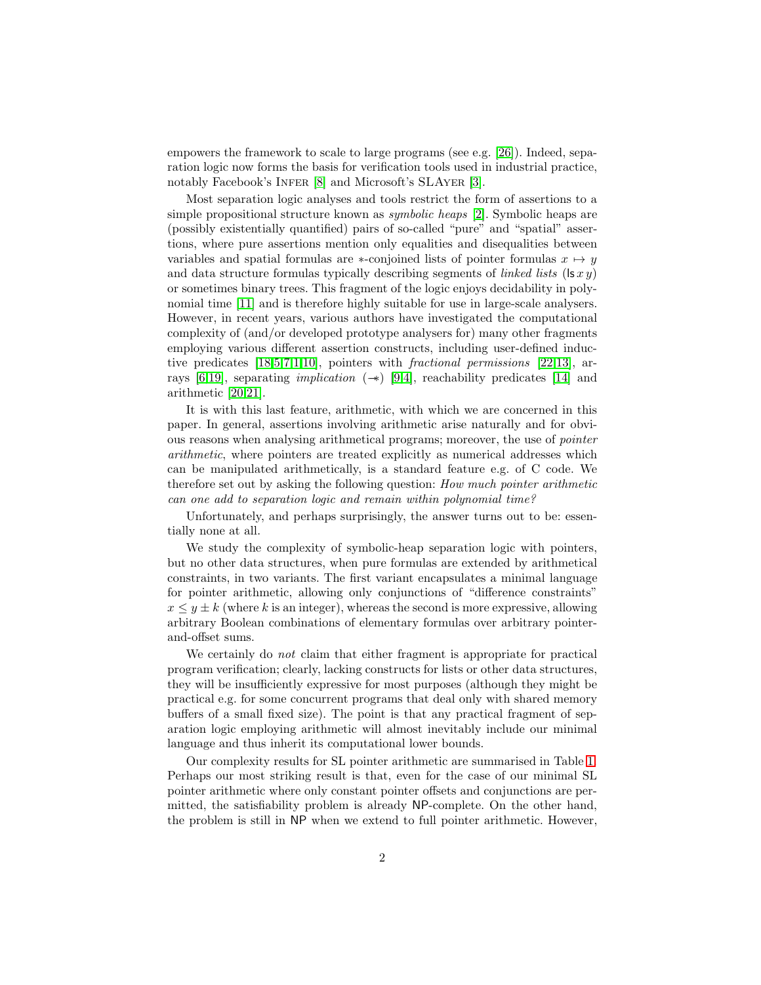empowers the framework to scale to large programs (see e.g. [\[26\]](#page-21-2)). Indeed, separation logic now forms the basis for verification tools used in industrial practice, notably Facebook's INFER [\[8\]](#page-20-0) and Microsoft's SLAYER [\[3\]](#page-20-1).

Most separation logic analyses and tools restrict the form of assertions to a simple propositional structure known as symbolic heaps [\[2\]](#page-20-2). Symbolic heaps are (possibly existentially quantified) pairs of so-called "pure" and "spatial" assertions, where pure assertions mention only equalities and disequalities between variables and spatial formulas are  $\ast$ -conjoined lists of pointer formulas  $x \mapsto y$ and data structure formulas typically describing segments of *linked lists* ( $|sxy\rangle$ ) or sometimes binary trees. This fragment of the logic enjoys decidability in polynomial time [\[11\]](#page-21-3) and is therefore highly suitable for use in large-scale analysers. However, in recent years, various authors have investigated the computational complexity of (and/or developed prototype analysers for) many other fragments employing various different assertion constructs, including user-defined inductive predicates [\[18,](#page-21-4)[5](#page-20-3)[,7](#page-20-4)[,1,](#page-20-5)[10\]](#page-21-5), pointers with fractional permissions [\[22,](#page-21-6)[13\]](#page-21-7), ar-rays [\[6,](#page-20-6)[19\]](#page-21-8), separating *implication* (→ $($ ) [\[9,](#page-20-7)[4\]](#page-20-8), reachability predicates [\[14\]](#page-21-9) and arithmetic [\[20](#page-21-10)[,21\]](#page-21-11).

It is with this last feature, arithmetic, with which we are concerned in this paper. In general, assertions involving arithmetic arise naturally and for obvious reasons when analysing arithmetical programs; moreover, the use of pointer arithmetic, where pointers are treated explicitly as numerical addresses which can be manipulated arithmetically, is a standard feature e.g. of C code. We therefore set out by asking the following question: How much pointer arithmetic can one add to separation logic and remain within polynomial time?

Unfortunately, and perhaps surprisingly, the answer turns out to be: essentially none at all.

We study the complexity of symbolic-heap separation logic with pointers, but no other data structures, when pure formulas are extended by arithmetical constraints, in two variants. The first variant encapsulates a minimal language for pointer arithmetic, allowing only conjunctions of "difference constraints"  $x \leq y \pm k$  (where k is an integer), whereas the second is more expressive, allowing arbitrary Boolean combinations of elementary formulas over arbitrary pointerand-offset sums.

We certainly do *not* claim that either fragment is appropriate for practical program verification; clearly, lacking constructs for lists or other data structures, they will be insufficiently expressive for most purposes (although they might be practical e.g. for some concurrent programs that deal only with shared memory buffers of a small fixed size). The point is that any practical fragment of separation logic employing arithmetic will almost inevitably include our minimal language and thus inherit its computational lower bounds.

Our complexity results for SL pointer arithmetic are summarised in Table [1.](#page-2-0) Perhaps our most striking result is that, even for the case of our minimal SL pointer arithmetic where only constant pointer offsets and conjunctions are permitted, the satisfiability problem is already NP-complete. On the other hand, the problem is still in NP when we extend to full pointer arithmetic. However,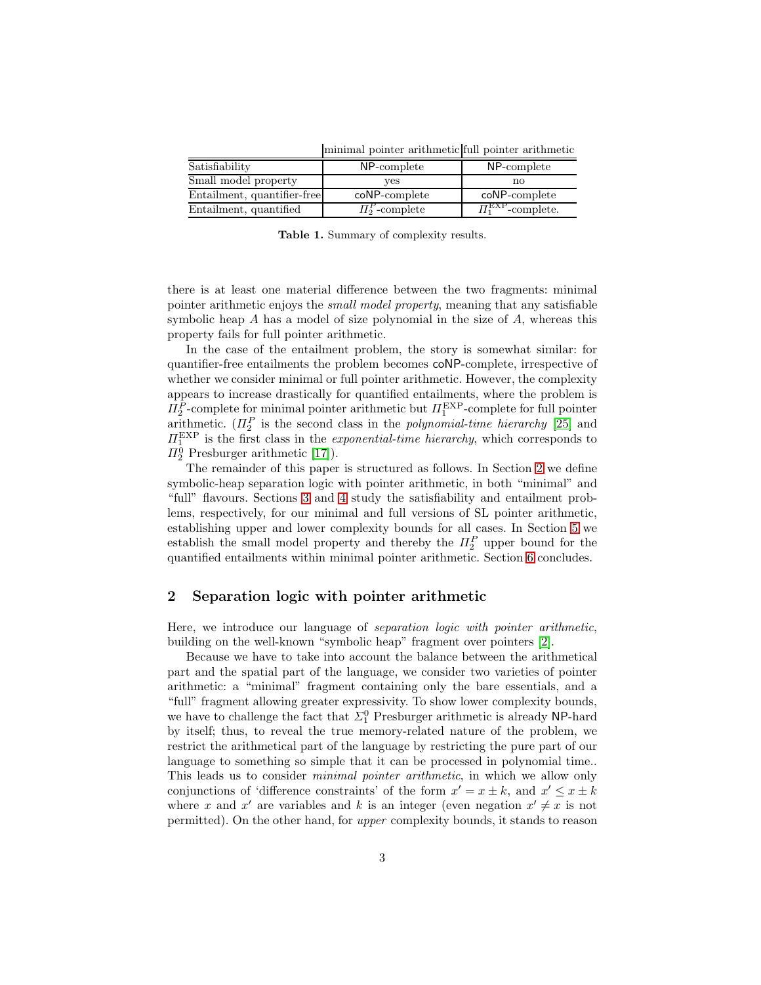Satisfiability **NP-complete** NP-complete Small model property  $y$ es no Entailment, quantifier-free coNP-complete coNP-complete Entailment, quantified  $\Pi_2^P$ -complete  $\Pi_1^{\text{EXP}}$ -complete.

minimal pointer arithmetic full pointer arithmetic

<span id="page-2-0"></span>Table 1. Summary of complexity results.

there is at least one material difference between the two fragments: minimal pointer arithmetic enjoys the small model property, meaning that any satisfiable symbolic heap A has a model of size polynomial in the size of A, whereas this property fails for full pointer arithmetic.

In the case of the entailment problem, the story is somewhat similar: for quantifier-free entailments the problem becomes coNP-complete, irrespective of whether we consider minimal or full pointer arithmetic. However, the complexity appears to increase drastically for quantified entailments, where the problem is  $\Pi_2^P$ -complete for minimal pointer arithmetic but  $\Pi_1^{\text{EXP}}$ -complete for full pointer arithmetic.  $(\Pi_2^P)$  is the second class in the *polynomial-time hierarchy* [\[25\]](#page-21-12) and  $\Pi_1^{\text{EXP}}$  is the first class in the *exponential-time hierarchy*, which corresponds to  $\Pi_2^0$  Presburger arithmetic [\[17\]](#page-21-13)).

The remainder of this paper is structured as follows. In Section [2](#page-2-1) we define symbolic-heap separation logic with pointer arithmetic, in both "minimal" and "full" flavours. Sections [3](#page-4-0) and [4](#page-8-0) study the satisfiability and entailment problems, respectively, for our minimal and full versions of SL pointer arithmetic, establishing upper and lower complexity bounds for all cases. In Section [5](#page-13-0) we establish the small model property and thereby the  $\Pi_2^P$  upper bound for the quantified entailments within minimal pointer arithmetic. Section [6](#page-19-0) concludes.

# <span id="page-2-1"></span>2 Separation logic with pointer arithmetic

Here, we introduce our language of separation logic with pointer arithmetic, building on the well-known "symbolic heap" fragment over pointers [\[2\]](#page-20-2).

Because we have to take into account the balance between the arithmetical part and the spatial part of the language, we consider two varieties of pointer arithmetic: a "minimal" fragment containing only the bare essentials, and a "full" fragment allowing greater expressivity. To show lower complexity bounds, we have to challenge the fact that  $\Sigma^0_1$  Presburger arithmetic is already NP-hard by itself; thus, to reveal the true memory-related nature of the problem, we restrict the arithmetical part of the language by restricting the pure part of our language to something so simple that it can be processed in polynomial time.. This leads us to consider minimal pointer arithmetic, in which we allow only conjunctions of 'difference constraints' of the form  $x' = x \pm k$ , and  $x' \leq x \pm k$ where x and x' are variables and k is an integer (even negation  $x' \neq x$  is not permitted). On the other hand, for upper complexity bounds, it stands to reason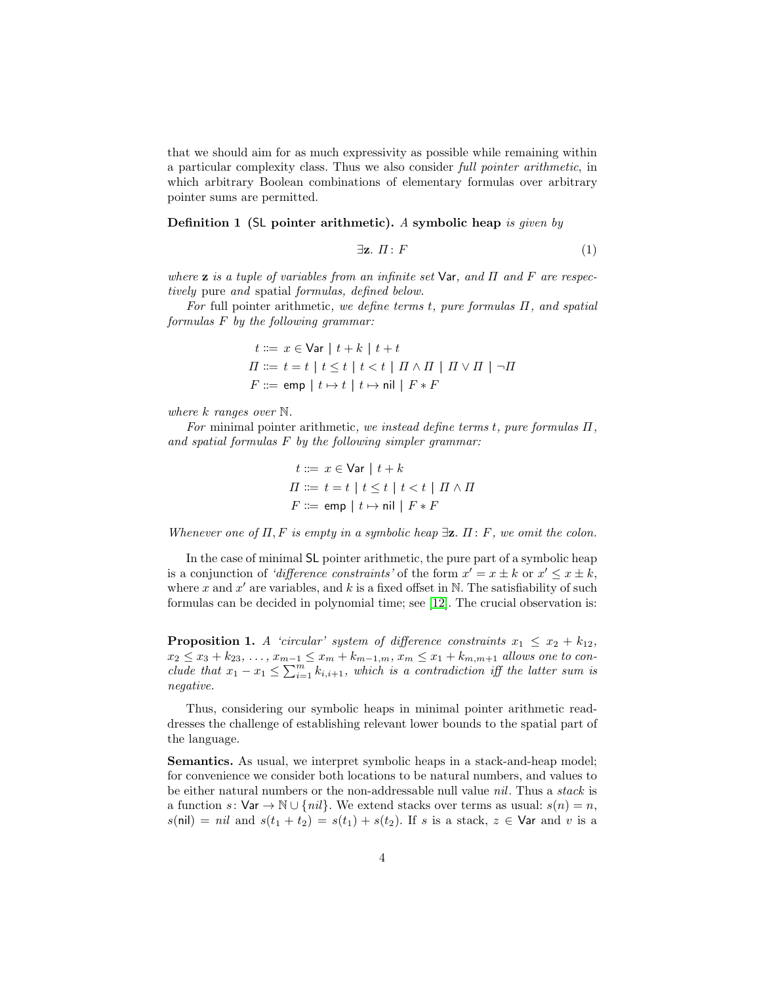that we should aim for as much expressivity as possible while remaining within a particular complexity class. Thus we also consider full pointer arithmetic, in which arbitrary Boolean combinations of elementary formulas over arbitrary pointer sums are permitted.

Definition 1 (SL pointer arithmetic). A symbolic heap is given by

$$
\exists \mathbf{z}. \ \Pi: F \tag{1}
$$

where **z** is a tuple of variables from an infinite set  $\forall$ ar, and  $\Pi$  and  $F$  are respectively pure and spatial formulas, defined below.

For full pointer arithmetic, we define terms t, pure formulas  $\Pi$ , and spatial formulas F by the following grammar:

$$
t ::= x \in \text{Var} | t + k | t + t
$$
  

$$
\Pi ::= t = t | t \leq t | t < t | \Pi \wedge \Pi | \Pi \vee \Pi | \neg \Pi
$$
  

$$
F ::= \text{emp} | t \mapsto t | t \mapsto \text{nil} | F * F
$$

where k ranges over  $\mathbb N$ .

For minimal pointer arithmetic, we instead define terms t, pure formulas  $\Pi$ , and spatial formulas F by the following simpler grammar:

$$
t ::= x \in \text{Var} \mid t + k
$$
  
\n
$$
\Pi ::= t = t \mid t \leq t \mid t < t \mid \Pi \land \Pi
$$
  
\n
$$
F ::= \text{emp} \mid t \mapsto \text{nil} \mid F * F
$$

Whenever one of  $\Pi$ , F is empty in a symbolic heap  $\exists z$ .  $\Pi$ : F, we omit the colon.

In the case of minimal SL pointer arithmetic, the pure part of a symbolic heap is a conjunction of 'difference constraints' of the form  $x' = x \pm k$  or  $x' \leq x \pm k$ , where x and x' are variables, and k is a fixed offset in  $\mathbb N$ . The satisfiability of such formulas can be decided in polynomial time; see [\[12\]](#page-21-14). The crucial observation is:

<span id="page-3-0"></span>**Proposition 1.** A 'circular' system of difference constraints  $x_1 \le x_2 + k_{12}$ ,  $x_2 \le x_3 + k_{23}, \ldots, x_{m-1} \le x_m + k_{m-1,m}, x_m \le x_1 + k_{m,m+1}$  allows one to conclude that  $x_1 - x_1 \le \sum_{i=1}^m k_{i,i+1}$ , which is a contradiction iff the latter sum is negative.

Thus, considering our symbolic heaps in minimal pointer arithmetic readdresses the challenge of establishing relevant lower bounds to the spatial part of the language.

Semantics. As usual, we interpret symbolic heaps in a stack-and-heap model; for convenience we consider both locations to be natural numbers, and values to be either natural numbers or the non-addressable null value nil. Thus a stack is a function s:  $\forall$ ar →  $\mathbb{N} \cup \{nil\}$ . We extend stacks over terms as usual:  $s(n) = n$ ,  $s(nil) = nil$  and  $s(t_1 + t_2) = s(t_1) + s(t_2)$ . If s is a stack,  $z \in \mathsf{Var}$  and v is a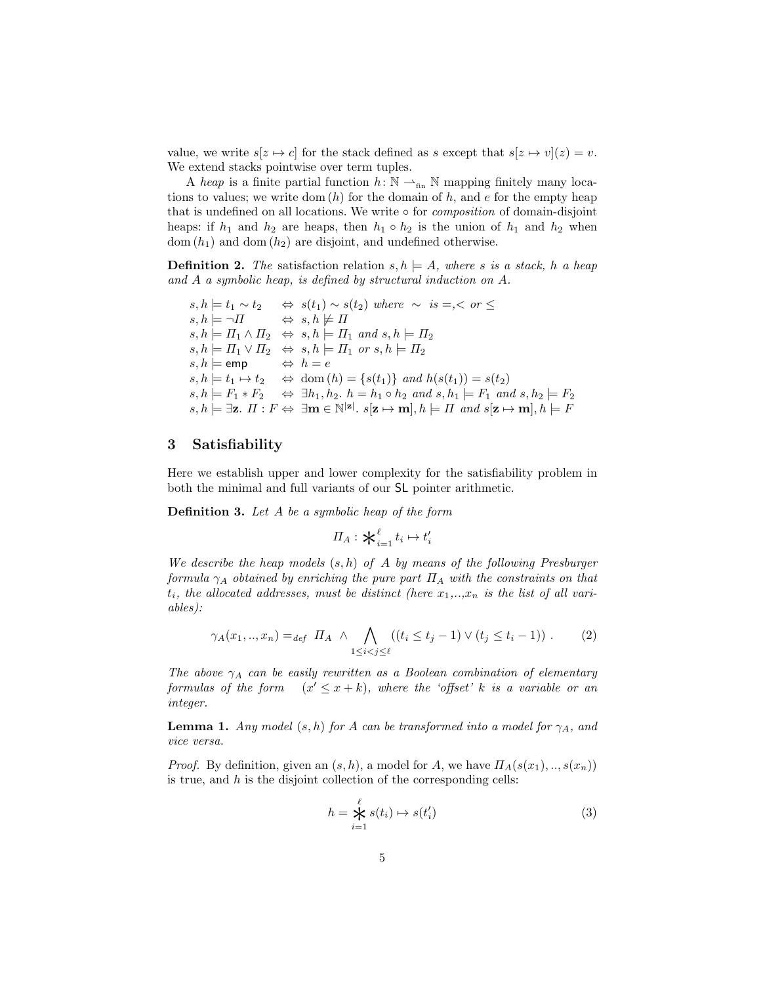value, we write  $s[z \mapsto c]$  for the stack defined as s except that  $s[z \mapsto v](z) = v$ . We extend stacks pointwise over term tuples.

A heap is a finite partial function  $h: \mathbb{N} \longrightarrow_{\text{fin}} \mathbb{N}$  mapping finitely many locations to values; we write dom  $(h)$  for the domain of  $h$ , and  $e$  for the empty heap that is undefined on all locations. We write  $\circ$  for *composition* of domain-disjoint heaps: if  $h_1$  and  $h_2$  are heaps, then  $h_1 \circ h_2$  is the union of  $h_1$  and  $h_2$  when  $dom(h_1)$  and  $dom(h_2)$  are disjoint, and undefined otherwise.

**Definition 2.** The satisfaction relation  $s, h \models A$ , where s is a stack, h a heap and A a symbolic heap, is defined by structural induction on A.

 $s, h \models t_1 \sim t_2 \Leftrightarrow s(t_1) \sim s(t_2)$  where  $\sim is = \le \text{or } \le$  $s, h \models \neg \Pi \qquad \Leftrightarrow s, h \not\models \Pi$  $s, h \models \Pi_1 \land \Pi_2 \iff s, h \models \Pi_1 \text{ and } s, h \models \Pi_2$  $s, h \models \Pi_1 \vee \Pi_2 \Leftrightarrow s, h \models \Pi_1 \text{ or } s, h \models \Pi_2$  $s, h \models \text{emp} \qquad \Leftrightarrow h = e$  $s, h \models t_1 \mapsto t_2 \Leftrightarrow \text{dom}(h) = \{s(t_1)\} \text{ and } h(s(t_1)) = s(t_2)$  $s, h \models F_1 * F_2 \Leftrightarrow \exists h_1, h_2 \ldotp h = h_1 \circ h_2 \text{ and } s, h_1 \models F_1 \text{ and } s, h_2 \models F_2$  $s, h \models \exists z. \ \Pi : F \Leftrightarrow \ \exists m \in \mathbb{N}^{|\mathbf{z}|}. \ s[\mathbf{z} \mapsto \mathbf{m}], h \models \Pi \ \text{and} \ s[\mathbf{z} \mapsto \mathbf{m}], h \models F$ 

## <span id="page-4-0"></span>3 Satisfiability

<span id="page-4-3"></span>Here we establish upper and lower complexity for the satisfiability problem in both the minimal and full variants of our SL pointer arithmetic.

Definition 3. Let A be a symbolic heap of the form

$$
\Pi_A: \mathbf{X}_{i=1}^\ell t_i \mapsto t_i'
$$

We describe the heap models  $(s, h)$  of A by means of the following Presburger formula  $\gamma_A$  obtained by enriching the pure part  $\Pi_A$  with the constraints on that  $t_i$ , the allocated addresses, must be distinct (here  $x_1, \ldots, x_n$  is the list of all variables):

$$
\gamma_A(x_1, ..., x_n) =_{def} \Pi_A \ \wedge \bigwedge_{1 \leq i < j \leq \ell} ((t_i \leq t_j - 1) \vee (t_j \leq t_i - 1)) \ . \tag{2}
$$

The above  $\gamma_A$  can be easily rewritten as a Boolean combination of elementary formulas of the form  $(x' \leq x + k)$ , where the 'offset' k is a variable or an integer.

<span id="page-4-2"></span>**Lemma 1.** Any model  $(s, h)$  for A can be transformed into a model for  $\gamma_A$ , and vice versa.

*Proof.* By definition, given an  $(s, h)$ , a model for A, we have  $\Pi_A(s(x_1), \ldots, s(x_n))$ is true, and  $h$  is the disjoint collection of the corresponding cells:

<span id="page-4-1"></span>
$$
h = \mathop{\mathcal{L}}_{i=1}^{\ell} s(t_i) \mapsto s(t'_i)
$$
 (3)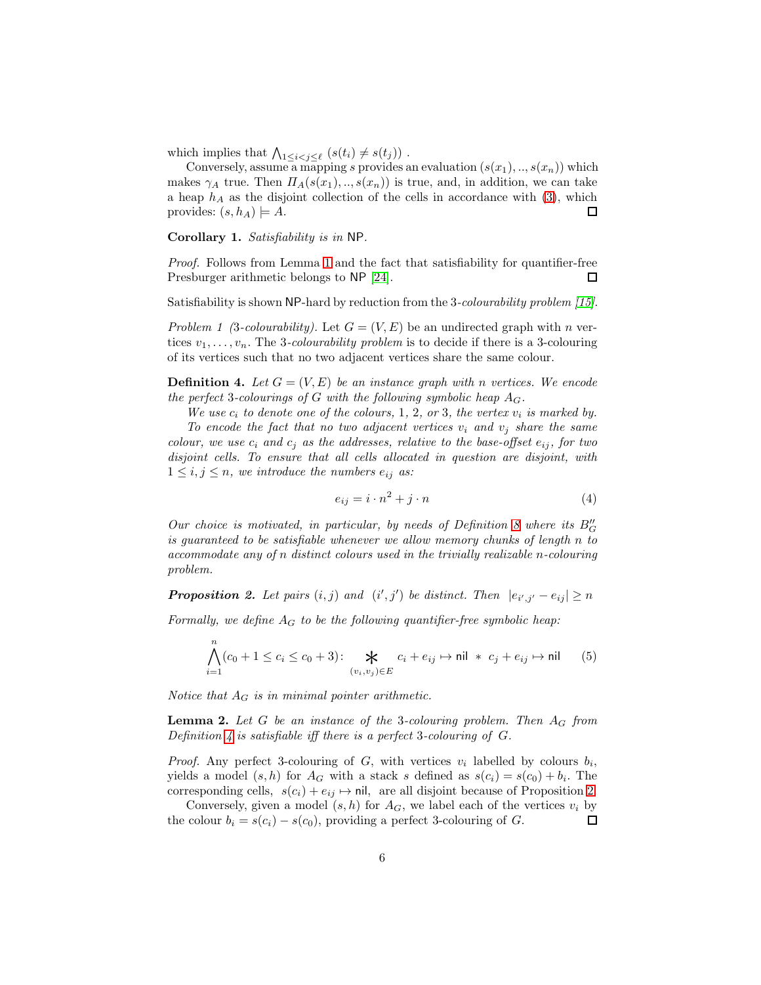which implies that  $\bigwedge_{1\leq i < j \leq \ell} (s(t_i) \neq s(t_j))$  .

Conversely, assume a mapping s provides an evaluation  $(s(x_1),...,s(x_n))$  which makes  $\gamma_A$  true. Then  $\Pi_A(s(x_1),...,s(x_n))$  is true, and, in addition, we can take a heap  $h_A$  as the disjoint collection of the cells in accordance with [\(3\)](#page-4-1), which provides:  $(s, h_A) \models A$ . □

<span id="page-5-3"></span>Corollary 1. Satisfiability is in NP.

Proof. Follows from Lemma [1](#page-4-2) and the fact that satisfiability for quantifier-free Presburger arithmetic belongs to NP [\[24\]](#page-21-15). □

Satisfiability is shown NP-hard by reduction from the 3-colourability problem [\[15\]](#page-21-16).

Problem 1 (3-colourability). Let  $G = (V, E)$  be an undirected graph with n vertices  $v_1, \ldots, v_n$ . The 3-colourability problem is to decide if there is a 3-colouring of its vertices such that no two adjacent vertices share the same colour.

<span id="page-5-0"></span>**Definition 4.** Let  $G = (V, E)$  be an instance graph with n vertices. We encode the perfect 3-colourings of G with the following symbolic heap  $A_G$ .

We use  $c_i$  to denote one of the colours, 1, 2, or 3, the vertex  $v_i$  is marked by.

To encode the fact that no two adjacent vertices  $v_i$  and  $v_j$  share the same colour, we use  $c_i$  and  $c_j$  as the addresses, relative to the base-offset  $e_{ij}$ , for two disjoint cells. To ensure that all cells allocated in question are disjoint, with  $1 \leq i, j \leq n$ , we introduce the numbers  $e_{ij}$  as:

$$
e_{ij} = i \cdot n^2 + j \cdot n \tag{4}
$$

Our choice is motivated, in particular, by needs of Definition [8](#page-10-0) where its  $B''_G$ is guaranteed to be satisfiable whenever we allow memory chunks of length n to accommodate any of n distinct colours used in the trivially realizable n-colouring problem.

<span id="page-5-1"></span>**Proposition 2.** Let pairs  $(i, j)$  and  $(i', j')$  be distinct. Then  $|e_{i', j'} - e_{i j}| \ge n$ 

Formally, we define  $A_G$  to be the following quantifier-free symbolic heap:

$$
\bigwedge_{i=1}^{n} (c_0 + 1 \le c_i \le c_0 + 3) \colon \bigtimes_{(v_i, v_j) \in E} c_i + e_{ij} \mapsto \text{nil} * c_j + e_{ij} \mapsto \text{nil} \qquad (5)
$$

<span id="page-5-2"></span>Notice that  $A_G$  is in minimal pointer arithmetic.

**Lemma 2.** Let  $G$  be an instance of the 3-colouring problem. Then  $A_G$  from Definition [4](#page-5-0) is satisfiable iff there is a perfect 3-colouring of  $G$ .

*Proof.* Any perfect 3-colouring of  $G$ , with vertices  $v_i$  labelled by colours  $b_i$ , yields a model  $(s, h)$  for  $A_G$  with a stack s defined as  $s(c_i) = s(c_0) + b_i$ . The corresponding cells,  $s(c_i) + e_{ij} \mapsto \text{nil}$ , are all disjoint because of Proposition [2.](#page-5-1)

<span id="page-5-4"></span>Conversely, given a model  $(s, h)$  for  $A_G$ , we label each of the vertices  $v_i$  by the colour  $b_i = s(c_i) - s(c_0)$ , providing a perfect 3-colouring of G. 口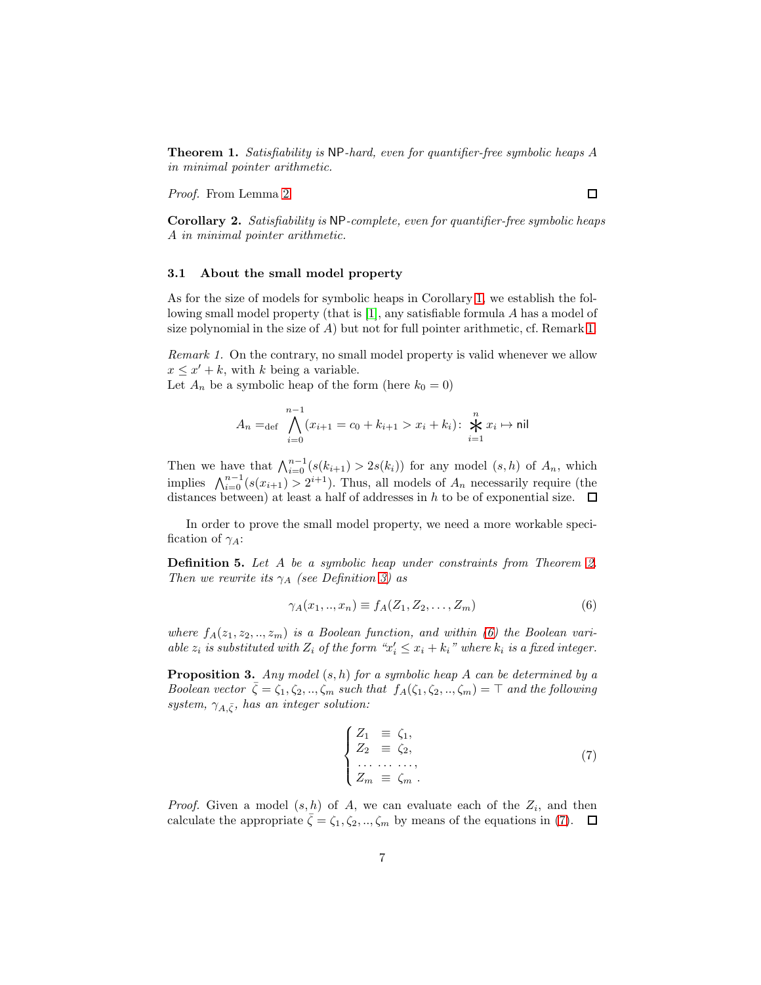Theorem 1. Satisfiability is NP-hard, even for quantifier-free symbolic heaps A in minimal pointer arithmetic.

Proof. From Lemma [2.](#page-5-2)

Corollary 2. Satisfiability is NP-complete, even for quantifier-free symbolic heaps A in minimal pointer arithmetic.

### 3.1 About the small model property

As for the size of models for symbolic heaps in Corollary [1,](#page-5-3) we establish the following small model property (that is [\[1\]](#page-20-5), any satisfiable formula A has a model of size polynomial in the size of  $A$ ) but not for full pointer arithmetic, cf. Remark [1.](#page-6-0)

<span id="page-6-0"></span>Remark 1. On the contrary, no small model property is valid whenever we allow  $x \leq x' + k$ , with k being a variable.

Let  $A_n$  be a symbolic heap of the form (here  $k_0 = 0$ )

$$
A_n =_{\text{def}} \bigwedge_{i=0}^{n-1} (x_{i+1} = c_0 + k_{i+1} > x_i + k_i) \colon \bigtimes_{i=1}^n x_i \mapsto \text{nil}
$$

Then we have that  $\bigwedge_{i=0}^{n-1} (s(k_{i+1}) > 2s(k_i))$  for any model  $(s, h)$  of  $A_n$ , which implies  $\bigwedge_{i=0}^{n-1} (s(x_{i+1}) > 2^{i+1})$ . Thus, all models of  $A_n$  necessarily require (the distances between) at least a half of addresses in h to be of exponential size.  $\Box$ 

In order to prove the small model property, we need a more workable specification of  $\gamma_A$ :

Definition 5. Let A be a symbolic heap under constraints from Theorem [2.](#page-7-0) Then we rewrite its  $\gamma_A$  (see Definition [3\)](#page-4-3) as

<span id="page-6-1"></span>
$$
\gamma_A(x_1,..,x_n) \equiv f_A(Z_1, Z_2, ..., Z_m)
$$
\n<sup>(6)</sup>

where  $f_A(z_1, z_2, \ldots, z_m)$  is a Boolean function, and within [\(6\)](#page-6-1) the Boolean variable  $z_i$  is substituted with  $Z_i$  of the form " $x'_i \leq x_i + k_i$ " where  $k_i$  is a fixed integer.

<span id="page-6-3"></span>**Proposition 3.** Any model  $(s, h)$  for a symbolic heap A can be determined by a Boolean vector  $\bar{\zeta} = \zeta_1, \zeta_2, ..., \zeta_m$  such that  $f_A(\zeta_1, \zeta_2, ..., \zeta_m) = \top$  and the following system,  $\gamma_{A,\bar{\zeta}},$  has an integer solution:

<span id="page-6-2"></span>
$$
\begin{cases}\nZ_1 \equiv \zeta_1, \\
Z_2 \equiv \zeta_2, \\
\dots \dots \dots, \\
Z_m \equiv \zeta_m.\n\end{cases} (7)
$$

<span id="page-6-4"></span>*Proof.* Given a model  $(s, h)$  of A, we can evaluate each of the  $Z_i$ , and then calculate the appropriate  $\bar{\zeta} = \zeta_1, \zeta_2, ..., \zeta_m$  by means of the equations in [\(7\)](#page-6-2).  $\Box$ 

 $\Box$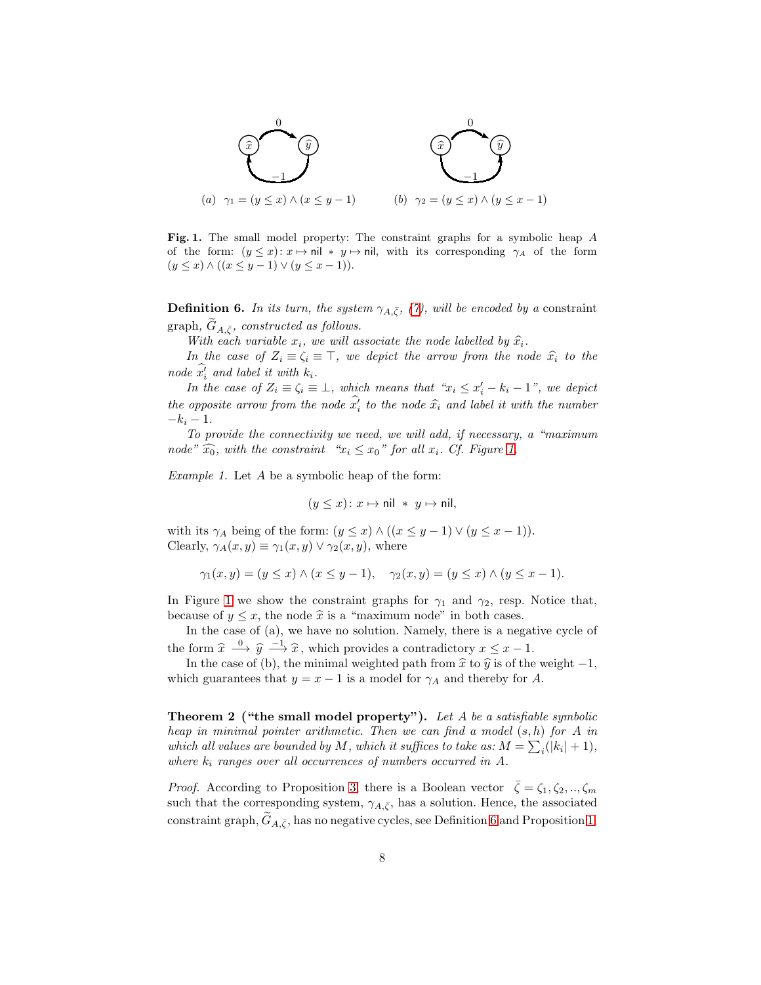

<span id="page-7-1"></span>Fig. 1. The small model property: The constraint graphs for a symbolic heap A of the form:  $(y \leq x)$ :  $x \mapsto \text{nil} * y \mapsto \text{nil}$ , with its corresponding  $\gamma_A$  of the form  $(y \le x) \wedge ((x \le y - 1) \vee (y \le x - 1)).$ 

**Definition 6.** In its turn, the system  $\gamma_{A,\bar{\zeta}},$  [\(7\)](#page-6-2), will be encoded by a constraint graph,  $G_{A,\bar{\zeta}}$ , constructed as follows.

With each variable  $x_i$ , we will associate the node labelled by  $\widehat{x_i}$ .

In the case of  $Z_i \equiv \zeta_i \equiv \top$ , we depict the arrow from the node  $\hat{x}_i$  to the node  $x'_i$  and label it with  $k_i$ .

In the case of  $Z_i \equiv \zeta_i \equiv \bot$ , which means that " $x_i \leq x'_i - k_i - 1$ ", we depict the opposite arrow from the node  $x'_i$  to the node  $\hat{x}_i$  and label it with the number  $-k_i-1$ .

To provide the connectivity we need, we will add, if necessary, a "maximum node"  $\widehat{x_0}$ , with the constraint " $x_i \leq x_0$ " for all  $x_i$ . Cf. Figure [1.](#page-7-1)

<span id="page-7-2"></span>Example 1. Let A be a symbolic heap of the form:

$$
(y \le x) \colon x \mapsto \mathsf{nil} \ * \ y \mapsto \mathsf{nil},
$$

with its  $\gamma_A$  being of the form:  $(y \le x) \wedge ((x \le y - 1) \vee (y \le x - 1)).$ Clearly,  $\gamma_A(x, y) \equiv \gamma_1(x, y) \vee \gamma_2(x, y)$ , where

$$
\gamma_1(x, y) = (y \le x) \land (x \le y - 1), \quad \gamma_2(x, y) = (y \le x) \land (y \le x - 1).
$$

In Figure [1](#page-7-1) we show the constraint graphs for  $\gamma_1$  and  $\gamma_2$ , resp. Notice that, because of  $y \leq x$ , the node  $\hat{x}$  is a "maximum node" in both cases.

In the case of (a), we have no solution. Namely, there is a negative cycle of the form  $\hat{x} \stackrel{0}{\longrightarrow} \hat{y} \stackrel{-1}{\longrightarrow} \hat{x}$ , which provides a contradictory  $x \leq x - 1$ .

In the case of (b), the minimal weighted path from  $\hat{x}$  to  $\hat{y}$  is of the weight −1, which guarantees that  $y = x - 1$  is a model for  $\gamma_A$  and thereby for A.

<span id="page-7-0"></span>Theorem 2 ("the small model property"). Let A be a satisfiable symbolic heap in minimal pointer arithmetic. Then we can find a model  $(s, h)$  for A in which all values are bounded by M, which it suffices to take as:  $M = \sum_i (|k_i| + 1)$ , where  $k_i$  ranges over all occurrences of numbers occurred in A.

*Proof.* According to Proposition [3,](#page-6-3) there is a Boolean vector  $\zeta = \zeta_1, \zeta_2, ..., \zeta_m$ such that the corresponding system,  $\gamma_{A,\bar{\zeta}}$ , has a solution. Hence, the associated constraint graph,  $G_{A,\bar{\zeta}}$ , has no negative cycles, see Definition [6](#page-6-4) and Proposition [1.](#page-3-0)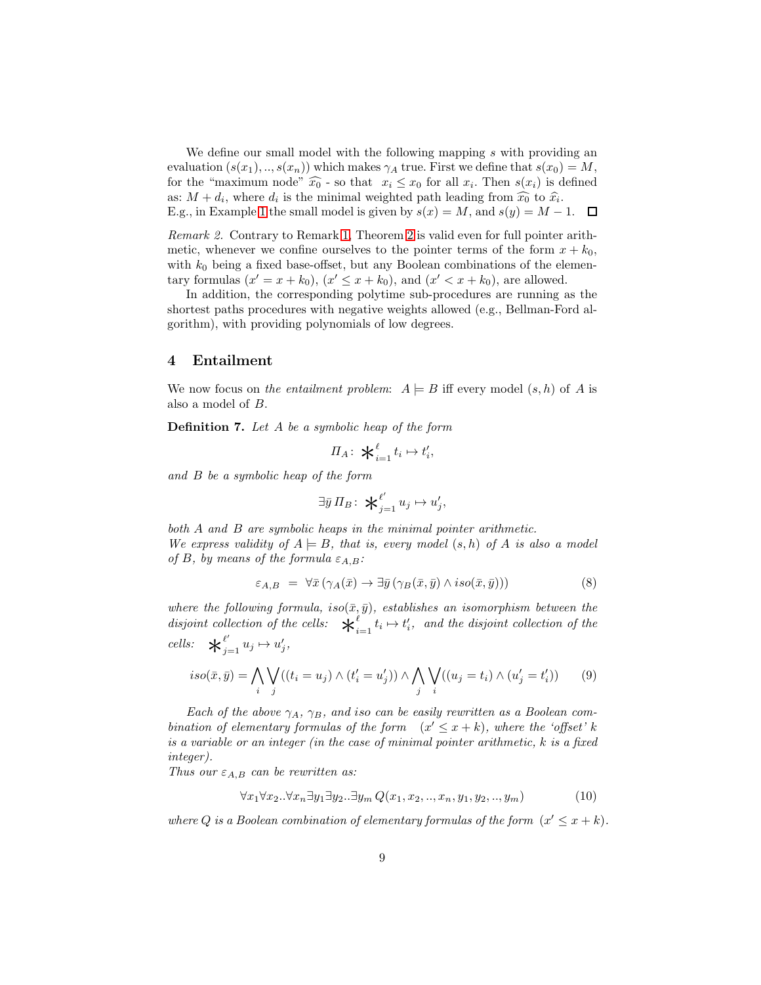We define our small model with the following mapping s with providing an evaluation  $(s(x_1),...,s(x_n))$  which makes  $\gamma_A$  true. First we define that  $s(x_0) = M$ , for the "maximum node"  $\widehat{x_0}$  - so that  $x_i \leq x_0$  for all  $x_i$ . Then  $s(x_i)$  is defined as:  $M + d_i$ , where  $d_i$  is the minimal weighted path leading from  $\widehat{x_0}$  to  $\widehat{x_i}$ . E.g., in Example [1](#page-7-2) the small model is given by  $s(x) = M$ , and  $s(y) = M - 1$ .  $\Box$ 

Remark 2. Contrary to Remark [1,](#page-6-0) Theorem [2](#page-7-0) is valid even for full pointer arithmetic, whenever we confine ourselves to the pointer terms of the form  $x + k_0$ , with  $k_0$  being a fixed base-offset, but any Boolean combinations of the elementary formulas  $(x' = x + k_0)$ ,  $(x' \le x + k_0)$ , and  $(x' < x + k_0)$ , are allowed.

In addition, the corresponding polytime sub-procedures are running as the shortest paths procedures with negative weights allowed (e.g., Bellman-Ford algorithm), with providing polynomials of low degrees.

## <span id="page-8-0"></span>4 Entailment

<span id="page-8-4"></span>We now focus on the entailment problem:  $A \models B$  iff every model  $(s, h)$  of A is also a model of B.

Definition 7. Let A be a symbolic heap of the form

$$
\Pi_A\colon \mathbf{X}_{i=1}^{\ell} t_i \mapsto t'_i,
$$

and B be a symbolic heap of the form

$$
\exists \bar{y} \, \Pi_B: \; \bigstar_{j=1}^{\ell'} u_j \mapsto u'_j,
$$

both A and B are symbolic heaps in the minimal pointer arithmetic. We express validity of  $A \models B$ , that is, every model  $(s, h)$  of A is also a model of B, by means of the formula  $\varepsilon_{A,B}$ :

<span id="page-8-3"></span>
$$
\varepsilon_{A,B} = \forall \bar{x} \left( \gamma_A(\bar{x}) \to \exists \bar{y} \left( \gamma_B(\bar{x}, \bar{y}) \land iso(\bar{x}, \bar{y}) \right) \right) \tag{8}
$$

where the following formula, iso $(\bar{x}, \bar{y})$ , establishes an isomorphism between the disjoint collection of the cells:  $\mathbf{\hat{x}}_i^{\ell}$ lection of the cells:  $\mathbf{\mathcal{F}}_{i=1}^{\ell} t_i \mapsto t'_i$ , and the disjoint collection of the cells:  $\star_i^{\ell}$  $\int_{j=1}^{\ell'} u_j \mapsto u'_j,$ 

$$
iso(\bar{x}, \bar{y}) = \bigwedge_{i} \bigvee_{j} ((t_i = u_j) \wedge (t'_i = u'_j)) \wedge \bigwedge_{j} \bigvee_{i} ((u_j = t_i) \wedge (u'_j = t'_i))
$$
(9)

Each of the above  $\gamma_A$ ,  $\gamma_B$ , and iso can be easily rewritten as a Boolean combination of elementary formulas of the form  $(x' \leq x + k)$ , where the 'offset' k is a variable or an integer (in the case of minimal pointer arithmetic,  $k$  is a fixed integer).

Thus our  $\varepsilon_{A,B}$  can be rewritten as:

<span id="page-8-2"></span>
$$
\forall x_1 \forall x_2 \ldots \forall x_n \exists y_1 \exists y_2 \ldots \exists y_m \ Q(x_1, x_2, \ldots, x_n, y_1, y_2, \ldots, y_m)
$$
\n
$$
(10)
$$

<span id="page-8-1"></span>where Q is a Boolean combination of elementary formulas of the form  $(x' \leq x + k)$ .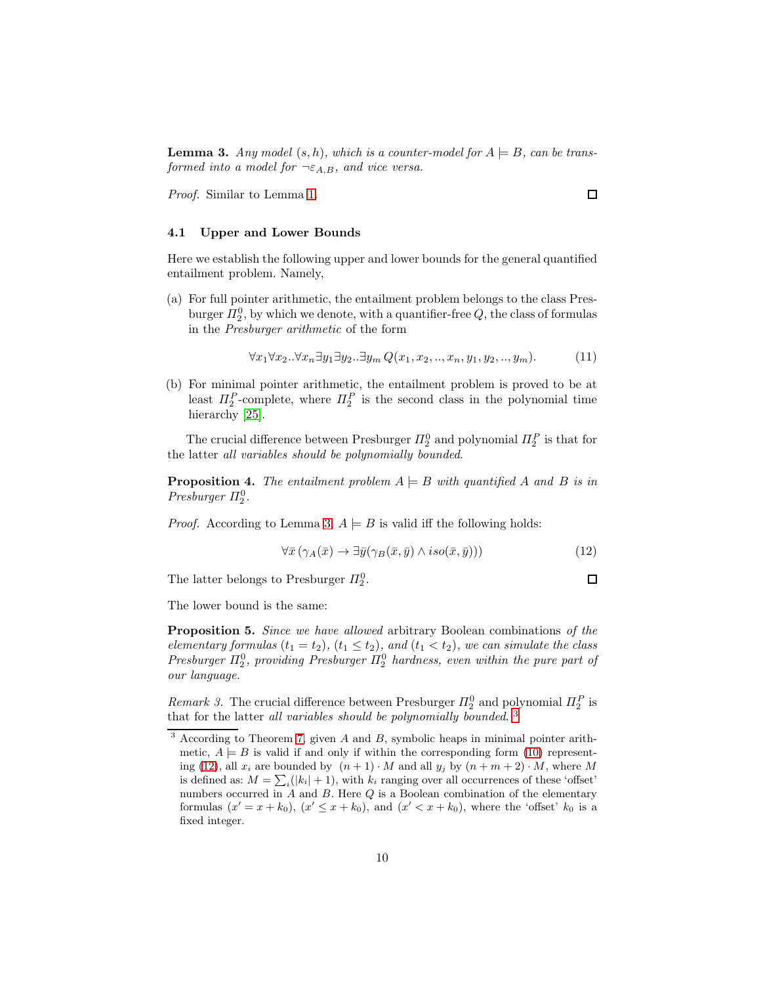**Lemma 3.** Any model  $(s, h)$ , which is a counter-model for  $A \models B$ , can be transformed into a model for  $\neg \epsilon_{A,B}$ , and vice versa.

Proof. Similar to Lemma [1.](#page-4-2)

### 4.1 Upper and Lower Bounds

Here we establish the following upper and lower bounds for the general quantified entailment problem. Namely,

(a) For full pointer arithmetic, the entailment problem belongs to the class Presburger  $\Pi_2^0$ , by which we denote, with a quantifier-free  $Q$ , the class of formulas in the Presburger arithmetic of the form

$$
\forall x_1 \forall x_2 \ldots \forall x_n \exists y_1 \exists y_2 \ldots \exists y_m \ Q(x_1, x_2, \ldots, x_n, y_1, y_2, \ldots, y_m). \tag{11}
$$

(b) For minimal pointer arithmetic, the entailment problem is proved to be at least  $\Pi_2^P$ -complete, where  $\Pi_2^P$  is the second class in the polynomial time hierarchy [\[25\]](#page-21-12).

The crucial difference between Presburger  $\Pi_2^0$  and polynomial  $\Pi_2^P$  is that for the latter all variables should be polynomially bounded.

**Proposition 4.** The entailment problem  $A \models B$  with quantified A and B is in Presburger  $\Pi_2^0$ .

*Proof.* According to Lemma [3,](#page-8-1)  $A \models B$  is valid iff the following holds:

<span id="page-9-1"></span>
$$
\forall \bar{x} \left( \gamma_A(\bar{x}) \to \exists \bar{y} (\gamma_B(\bar{x}, \bar{y}) \land iso(\bar{x}, \bar{y})) \right) \tag{12}
$$

The latter belongs to Presburger  $\Pi_2^0$ .

□

 $\Box$ 

The lower bound is the same:

Proposition 5. Since we have allowed arbitrary Boolean combinations of the elementary formulas  $(t_1 = t_2)$ ,  $(t_1 \le t_2)$ , and  $(t_1 < t_2)$ , we can simulate the class Presburger  $\Pi_2^0$ , providing Presburger  $\Pi_2^0$  hardness, even within the pure part of our language.

Remark 3. The crucial difference between Presburger  $\Pi_2^0$  and polynomial  $\Pi_2^P$  is that for the latter all variables should be polynomially bounded.<sup>[3](#page-9-0)</sup>

<span id="page-9-0"></span> $3$  According to Theorem [7,](#page-15-0) given A and B, symbolic heaps in minimal pointer arithmetic,  $A \models B$  is valid if and only if within the corresponding form [\(10\)](#page-8-2) represent-ing [\(12\)](#page-9-1), all  $x_i$  are bounded by  $(n + 1) \cdot M$  and all  $y_j$  by  $(n + m + 2) \cdot M$ , where M is defined as:  $M = \sum_i (|k_i| + 1)$ , with  $k_i$  ranging over all occurrences of these 'offset' numbers occurred in  $A$  and  $B$ . Here  $Q$  is a Boolean combination of the elementary formulas  $(x' = x + k_0)$ ,  $(x' \leq x + k_0)$ , and  $(x' < x + k_0)$ , where the 'offset'  $k_0$  is a fixed integer.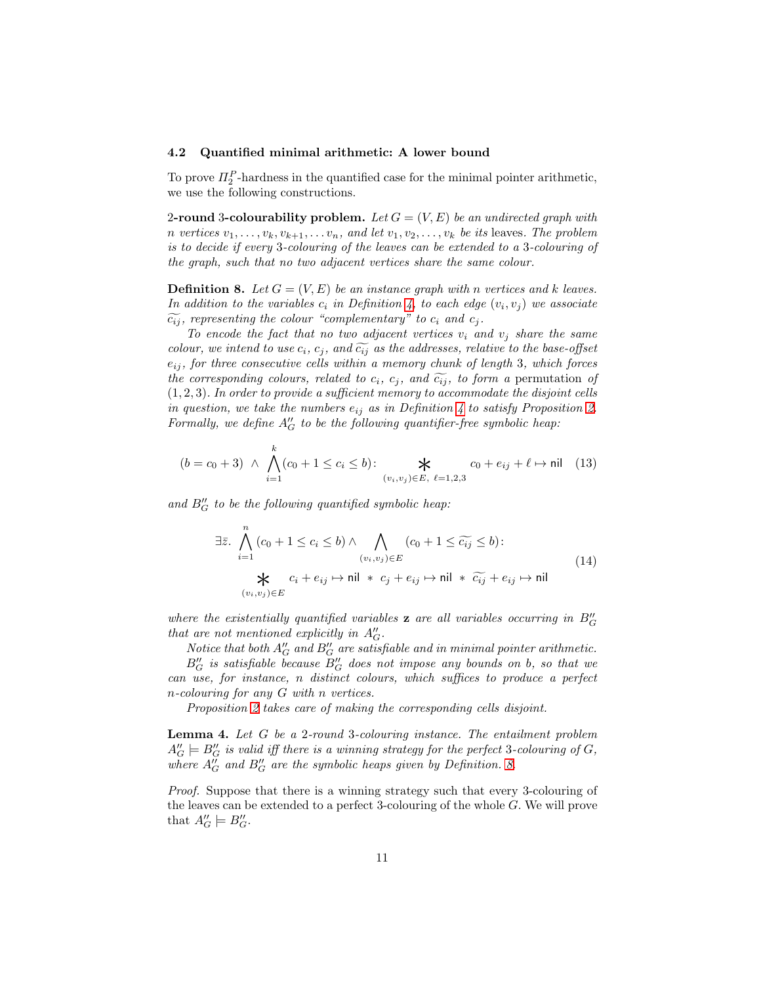#### 4.2 Quantified minimal arithmetic: A lower bound

To prove  $\Pi_2^P$ -hardness in the quantified case for the minimal pointer arithmetic, we use the following constructions.

2-round 3-colourability problem. Let  $G = (V, E)$  be an undirected graph with n vertices  $v_1, \ldots, v_k, v_{k+1}, \ldots, v_n$ , and let  $v_1, v_2, \ldots, v_k$  be its leaves. The problem is to decide if every 3-colouring of the leaves can be extended to a 3-colouring of the graph, such that no two adjacent vertices share the same colour.

<span id="page-10-0"></span>**Definition 8.** Let  $G = (V, E)$  be an instance graph with n vertices and k leaves. In addition to the variables  $c_i$  in Definition [4,](#page-5-0) to each edge  $(v_i, v_j)$  we associate  $\widetilde{c_{ij}}$ , representing the colour "complementary" to  $c_i$  and  $c_j$ .

To encode the fact that no two adjacent vertices  $v_i$  and  $v_j$  share the same colour, we intend to use  $c_i, c_j$ , and  $\widetilde{c_{ij}}$  as the addresses, relative to the base-offset  $e_{ij}$ , for three consecutive cells within a memory chunk of length 3, which forces the corresponding colours, related to  $c_i$ ,  $c_j$ , and  $\widetilde{c_{ij}}$ , to form a permutation of  $(1, 2, 3)$ . In order to provide a sufficient memory to accommodate the disjoint cells in question, we take the numbers  $e_{ij}$  as in Definition [4](#page-5-0) to satisfy Proposition [2.](#page-5-1) Formally, we define  $A''_G$  to be the following quantifier-free symbolic heap:

$$
(b = c_0 + 3) \ \land \ \bigwedge_{i=1}^k (c_0 + 1 \le c_i \le b) : \ \ \bigstar \ \ \mathcal{K} \ \ c_0 + e_{ij} + \ell \mapsto \text{nil} \ \ (13)
$$

and  $B''_G$  to be the following quantified symbolic heap:

$$
\exists \bar{z}. \bigwedge_{i=1}^{n} (c_0 + 1 \leq c_i \leq b) \land \bigwedge_{(v_i, v_j) \in E} (c_0 + 1 \leq \widetilde{c_{ij}} \leq b):
$$
\n
$$
\bigstar c_i + e_{ij} \mapsto \text{nil} * c_j + e_{ij} \mapsto \text{nil} * \widetilde{c_{ij}} + e_{ij} \mapsto \text{nil}
$$
\n
$$
(14)
$$

where the existentially quantified variables  $z$  are all variables occurring in  $B''_G$ that are not mentioned explicitly in  $A''_G$ .

Notice that both  $A''_G$  and  $B''_G$  are satisfiable and in minimal pointer arithmetic.  $B''_G$  is satisfiable because  $B''_G$  does not impose any bounds on b, so that we can use, for instance, n distinct colours, which suffices to produce a perfect n-colouring for any G with n vertices.

Proposition [2](#page-5-1) takes care of making the corresponding cells disjoint.

<span id="page-10-1"></span>Lemma 4. Let G be a 2-round 3-colouring instance. The entailment problem  $A''_G \models B''_G$  is valid iff there is a winning strategy for the perfect 3-colouring of G, where  $A''_G$  and  $B''_G$  are the symbolic heaps given by Definition. [8.](#page-10-0)

Proof. Suppose that there is a winning strategy such that every 3-colouring of the leaves can be extended to a perfect 3-colouring of the whole G. We will prove that  $A''_G \models B''_G$ .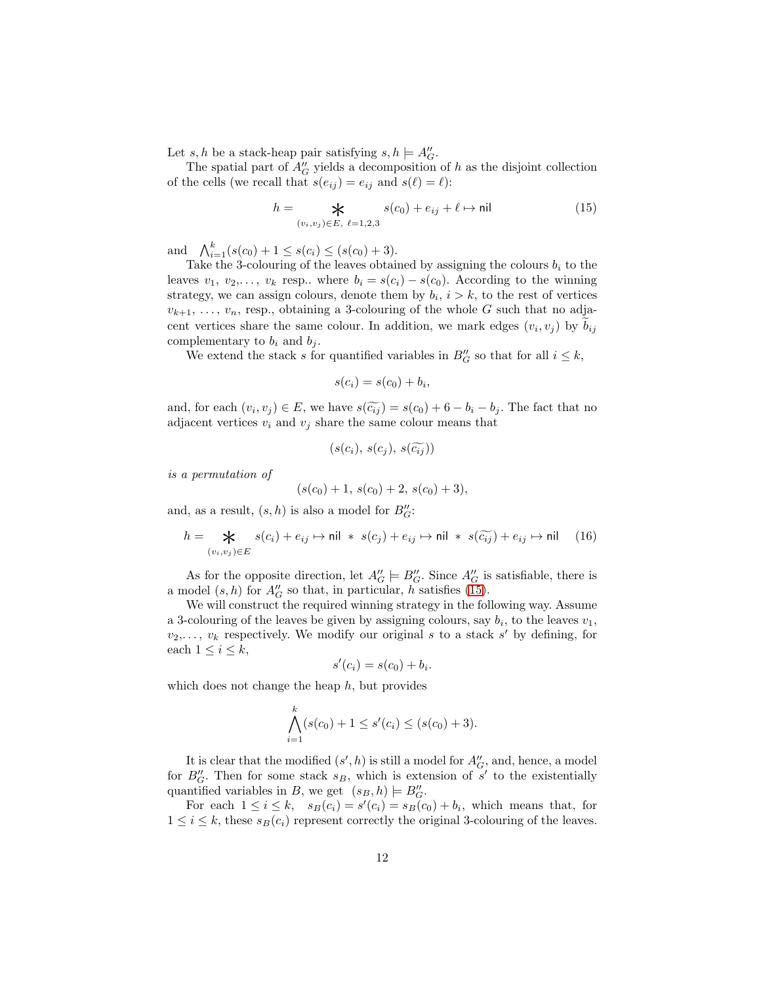Let  $s, h$  be a stack-heap pair satisfying  $s, h \models A''_G$ .

The spatial part of  $A''_G$  yields a decomposition of h as the disjoint collection of the cells (we recall that  $s(e_{ij}) = e_{ij}$  and  $s(\ell) = \ell$ ):

<span id="page-11-0"></span>
$$
h = \mathop{\mathbf{X}}_{(v_i, v_j) \in E, \ \ell = 1, 2, 3} s(c_0) + e_{ij} + \ell \mapsto \text{nil}
$$
 (15)

and  $\bigwedge_{i=1}^{k} (s(c_0) + 1 \leq s(c_i) \leq (s(c_0) + 3).$ 

Take the 3-colouring of the leaves obtained by assigning the colours  $b_i$  to the leaves  $v_1, v_2,..., v_k$  resp.. where  $b_i = s(c_i) - s(c_0)$ . According to the winning strategy, we can assign colours, denote them by  $b_i$ ,  $i > k$ , to the rest of vertices  $v_{k+1}, \ldots, v_n$ , resp., obtaining a 3-colouring of the whole G such that no adjacent vertices share the same colour. In addition, we mark edges  $(v_i, v_j)$  by  $b_{ij}$ complementary to  $b_i$  and  $b_j$ .

We extend the stack s for quantified variables in  $B''_G$  so that for all  $i \leq k$ ,

$$
s(c_i) = s(c_0) + b_i,
$$

and, for each  $(v_i, v_j) \in E$ , we have  $s(\widetilde{c_{ij}}) = s(c_0) + 6 - b_i - b_j$ . The fact that no adjacent vertices  $v_i$  and  $v_j$  share the same colour means that

$$
(s(c_i),\,s(c_j),\,s(\widetilde{c_{ij}}))
$$

is a permutation of

$$
(s(c_0)+1, s(c_0)+2, s(c_0)+3),
$$

and, as a result,  $(s, h)$  is also a model for  $B''_G$ :

<span id="page-11-1"></span>
$$
h = \mathop{\mathbf{K}}_{(v_i, v_j) \in E} s(c_i) + e_{ij} \mapsto \mathsf{nil} \ * \ s(c_j) + e_{ij} \mapsto \mathsf{nil} \ * \ s(\widetilde{c_{ij}}) + e_{ij} \mapsto \mathsf{nil} \tag{16}
$$

As for the opposite direction, let  $A''_G \models B''_G$ . Since  $A''_G$  is satisfiable, there is a model  $(s, h)$  for  $A''_G$  so that, in particular, h satisfies [\(15\)](#page-11-0).

We will construct the required winning strategy in the following way. Assume a 3-colouring of the leaves be given by assigning colours, say  $b_i$ , to the leaves  $v_1$ ,  $v_2, \ldots, v_k$  respectively. We modify our original s to a stack s' by defining, for each  $1 \leq i \leq k$ ,

$$
s'(c_i) = s(c_0) + b_i.
$$

which does not change the heap  $h$ , but provides

$$
\bigwedge_{i=1}^k (s(c_0) + 1 \le s'(c_i) \le (s(c_0) + 3).
$$

It is clear that the modified  $(s', h)$  is still a model for  $A''_G$ , and, hence, a model for  $B''_G$ . Then for some stack  $s_B$ , which is extension of s' to the existentially quantified variables in B, we get  $(s_B, h) \models B''_G$ .

For each  $1 \leq i \leq k$ ,  $s_B(c_i) = s'(c_i) = s_B(c_0) + b_i$ , which means that, for  $1 \leq i \leq k$ , these  $s_B(c_i)$  represent correctly the original 3-colouring of the leaves.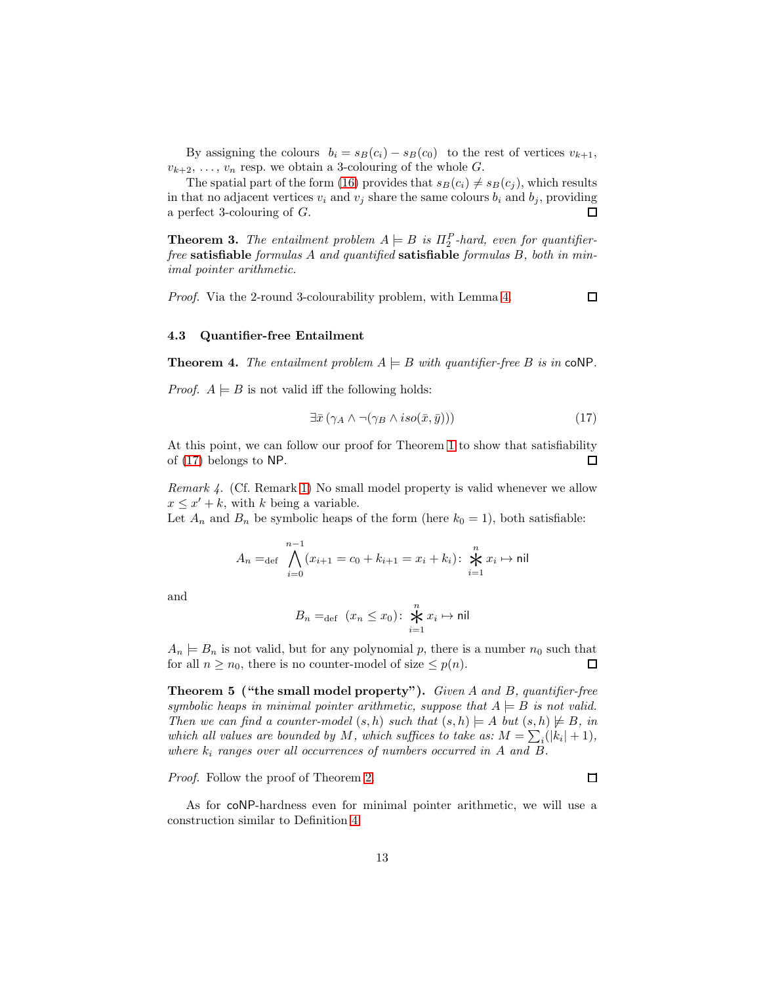By assigning the colours  $b_i = s_B(c_i) - s_B(c_0)$  to the rest of vertices  $v_{k+1}$ ,  $v_{k+2}, \ldots, v_n$  resp. we obtain a 3-colouring of the whole G.

The spatial part of the form [\(16\)](#page-11-1) provides that  $s_B(c_i) \neq s_B(c_j)$ , which results in that no adjacent vertices  $v_i$  and  $v_j$  share the same colours  $b_i$  and  $b_j$ , providing a perfect 3-colouring of G. П

<span id="page-12-1"></span>**Theorem 3.** The entailment problem  $A \models B$  is  $\Pi_2^P$ -hard, even for quantifierfree satisfiable formulas  $A$  and quantified satisfiable formulas  $B$ , both in minimal pointer arithmetic.

Proof. Via the 2-round 3-colourability problem, with Lemma [4.](#page-10-1)

### 4.3 Quantifier-free Entailment

**Theorem 4.** The entailment problem  $A \models B$  with quantifier-free B is in coNP.

*Proof.*  $A \models B$  is not valid iff the following holds:

<span id="page-12-0"></span>
$$
\exists \bar{x} \left( \gamma_A \wedge \neg(\gamma_B \wedge iso(\bar{x}, \bar{y})) \right) \tag{17}
$$

 $\Box$ 

 $\Box$ 

At this point, we can follow our proof for Theorem [1](#page-5-4) to show that satisfiability of [\(17\)](#page-12-0) belongs to NP. □

Remark 4. (Cf. Remark [1\)](#page-6-0) No small model property is valid whenever we allow  $x \leq x' + k$ , with k being a variable.

Let  $A_n$  and  $B_n$  be symbolic heaps of the form (here  $k_0 = 1$ ), both satisfiable:

$$
A_n =_{\text{def}} \bigwedge_{i=0}^{n-1} (x_{i+1} = c_0 + k_{i+1} = x_i + k_i) : \bigtimes_{i=1}^n x_i \mapsto \text{nil}
$$

and

$$
B_n =_{\text{def}} (x_n \le x_0) \colon \bigstar^n_{i=1} x_i \mapsto \text{nil}
$$

 $A_n \models B_n$  is not valid, but for any polynomial p, there is a number  $n_0$  such that for all  $n \geq n_0$ , there is no counter-model of size  $\leq p(n)$ .  $\Box$ 

Theorem 5 ("the small model property"). Given A and B, quantifier-free symbolic heaps in minimal pointer arithmetic, suppose that  $A \models B$  is not valid. Then we can find a counter-model  $(s, h)$  such that  $(s, h) \models A$  but  $(s, h) \not\models B$ , in which all values are bounded by M, which suffices to take as:  $M = \sum_i (|k_i| + 1)$ , where  $k_i$  ranges over all occurrences of numbers occurred in A and B.

Proof. Follow the proof of Theorem [2.](#page-7-0)

As for coNP-hardness even for minimal pointer arithmetic, we will use a construction similar to Definition [4.](#page-5-0)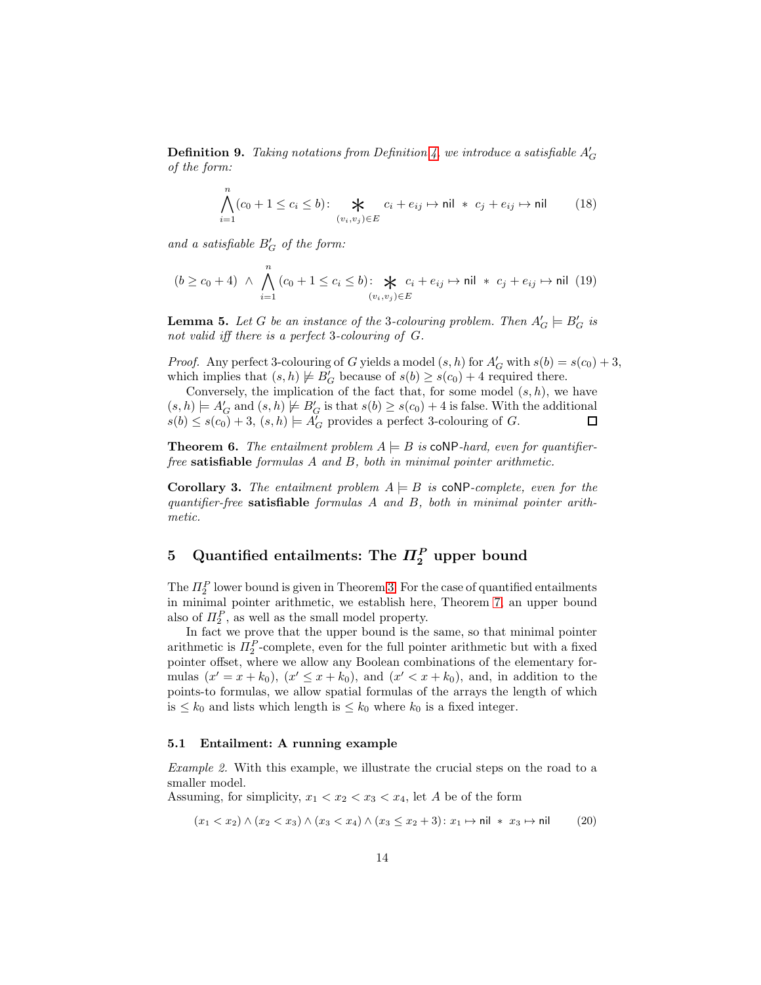**Definition 9.** Taking notations from Definition [4,](#page-5-0) we introduce a satisfiable  $A'_{G}$ of the form:

$$
\bigwedge_{i=1}^{n} (c_0 + 1 \le c_i \le b) \colon \bigtimes_{(v_i, v_j) \in E} c_i + e_{ij} \mapsto \text{nil} * c_j + e_{ij} \mapsto \text{nil} \tag{18}
$$

and a satisfiable  $B'_G$  of the form:

$$
(b \ge c_0 + 4) \ \wedge \ \bigwedge_{i=1}^n (c_0 + 1 \le c_i \le b) \colon \bigtimes_{(v_i, v_j) \in E} c_i + e_{ij} \mapsto \text{nil} \ * \ c_j + e_{ij} \mapsto \text{nil} \ (19)
$$

**Lemma 5.** Let G be an instance of the 3-colouring problem. Then  $A'_G \models B'_G$  is not valid iff there is a perfect 3-colouring of G.

*Proof.* Any perfect 3-colouring of G yields a model  $(s, h)$  for  $A'_{\overline{G}}$  with  $s(b) = s(c_0) + 3$ , which implies that  $(s, h) \not\models B'_{G}$  because of  $s(b) \geq s(c_0) + 4$  required there.

Conversely, the implication of the fact that, for some model  $(s, h)$ , we have  $(s, h) \models A'_G$  and  $(s, h) \not\models B'_G$  is that  $s(b) \geq s(c_0) + 4$  is false. With the additional  $s(b) \leq s(c_0) + 3$ ,  $(s, h) \models A'_G$  provides a perfect 3-colouring of G.  $\Box$ 

**Theorem 6.** The entailment problem  $A \models B$  is coNP-hard, even for quantifierfree satisfiable formulas A and B, both in minimal pointer arithmetic.

**Corollary 3.** The entailment problem  $A \models B$  is coNP-complete, even for the quantifier-free satisfiable formulas A and B, both in minimal pointer arithmetic.

# <span id="page-13-0"></span>5 Quantified entailments: The  $\Pi_2^P$  upper bound

The  $\Pi_2^P$  lower bound is given in Theorem [3.](#page-12-1) For the case of quantified entailments in minimal pointer arithmetic, we establish here, Theorem [7,](#page-15-0) an upper bound also of  $\Pi_2^P$ , as well as the small model property.

In fact we prove that the upper bound is the same, so that minimal pointer arithmetic is  $\Pi_2^P$ -complete, even for the full pointer arithmetic but with a fixed pointer offset, where we allow any Boolean combinations of the elementary formulas  $(x' = x + k_0)$ ,  $(x' \le x + k_0)$ , and  $(x' < x + k_0)$ , and, in addition to the points-to formulas, we allow spatial formulas of the arrays the length of which is  $\leq k_0$  and lists which length is  $\leq k_0$  where  $k_0$  is a fixed integer.

## <span id="page-13-1"></span>5.1 Entailment: A running example

Example 2. With this example, we illustrate the crucial steps on the road to a smaller model.

Assuming, for simplicity,  $x_1 < x_2 < x_3 < x_4$ , let A be of the form

$$
(x_1 < x_2) \land (x_2 < x_3) \land (x_3 < x_4) \land (x_3 \le x_2 + 3) : x_1 \mapsto \text{nil} * x_3 \mapsto \text{nil} \tag{20}
$$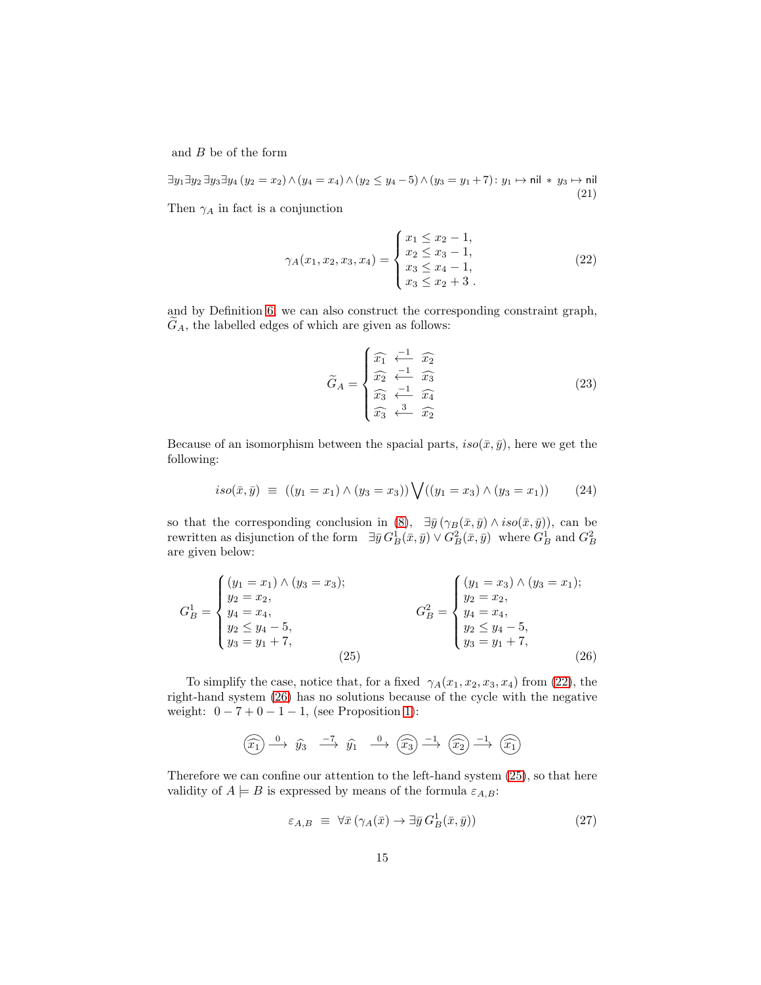and  $B$  be of the form

∃y<sub>1</sub>∃y<sub>2</sub> ∃y<sub>3</sub>∃y<sub>4</sub> (y<sub>2</sub> = x<sub>2</sub>)  $\land$  (y<sub>4</sub> = x<sub>4</sub>)  $\land$  (y<sub>2</sub> ≤ y<sub>4</sub> - 5)  $\land$  (y<sub>3</sub> = y<sub>1</sub> + 7): y<sub>1</sub> → nil ∗ y<sub>3</sub> → nil (21)

Then  $\gamma_A$  in fact is a conjunction

<span id="page-14-0"></span>
$$
\gamma_A(x_1, x_2, x_3, x_4) = \begin{cases} x_1 \le x_2 - 1, \\ x_2 \le x_3 - 1, \\ x_3 \le x_4 - 1, \\ x_3 \le x_2 + 3. \end{cases}
$$
 (22)

and by Definition [6,](#page-6-4) we can also construct the corresponding constraint graph,  $G_A$ , the labelled edges of which are given as follows:

$$
\widetilde{G}_A = \begin{cases}\n\widehat{x_1} & \stackrel{-1}{\longleftarrow} \widehat{x_2} \\
\widehat{x_2} & \stackrel{-1}{\longleftarrow} \widehat{x_3} \\
\widehat{x_3} & \stackrel{-1}{\longleftarrow} \widehat{x_4} \\
\widehat{x_3} & \stackrel{3}{\longleftarrow} \widehat{x_2}\n\end{cases} \tag{23}
$$

Because of an isomorphism between the spacial parts,  $iso(\bar{x}, \bar{y})$ , here we get the following:

$$
iso(\bar{x}, \bar{y}) \equiv ((y_1 = x_1) \land (y_3 = x_3)) \bigvee ((y_1 = x_3) \land (y_3 = x_1)) \tag{24}
$$

so that the corresponding conclusion in [\(8\)](#page-8-3),  $\exists \bar{y}(\gamma_B(\bar{x}, \bar{y}) \wedge iso(\bar{x}, \bar{y}))$ , can be rewritten as disjunction of the form  $\exists \bar{y} G_B^1(\bar{x}, \bar{y}) \vee G_B^2(\bar{x}, \bar{y})$  where  $G_B^1$  and  $G_B^2$ are given below:

<span id="page-14-2"></span>
$$
G_B^1 = \begin{cases} (y_1 = x_1) \wedge (y_3 = x_3); \\ y_2 = x_2, \\ y_4 = x_4, \\ y_2 \le y_4 - 5, \\ y_3 = y_1 + 7, \end{cases} \qquad G_B^2 = \begin{cases} (y_1 = x_3) \wedge (y_3 = x_1); \\ y_2 = x_2, \\ y_4 = x_4, \\ y_2 \le y_4 - 5, \\ y_3 = y_1 + 7, \end{cases}
$$
(26)

To simplify the case, notice that, for a fixed  $\gamma_A(x_1, x_2, x_3, x_4)$  from [\(22\)](#page-14-0), the right-hand system [\(26\)](#page-14-1) has no solutions because of the cycle with the negative weight:  $0 - 7 + 0 - 1 - 1$ , (see Proposition [1\)](#page-3-0):

<span id="page-14-1"></span>
$$
\widehat{(x_1)} \xrightarrow{0} \widehat{y_3} \xrightarrow{-7} \widehat{y_1} \xrightarrow{0} \widehat{(x_3)} \xrightarrow{-1} \widehat{(x_2)} \xrightarrow{-1} \widehat{(x_1)}
$$

Therefore we can confine our attention to the left-hand system [\(25\)](#page-14-2), so that here validity of  $A \models B$  is expressed by means of the formula  $\varepsilon_{A,B}$ :

<span id="page-14-3"></span>
$$
\varepsilon_{A,B} \equiv \forall \bar{x} \left( \gamma_A(\bar{x}) \to \exists \bar{y} \, G_B^1(\bar{x}, \bar{y}) \right) \tag{27}
$$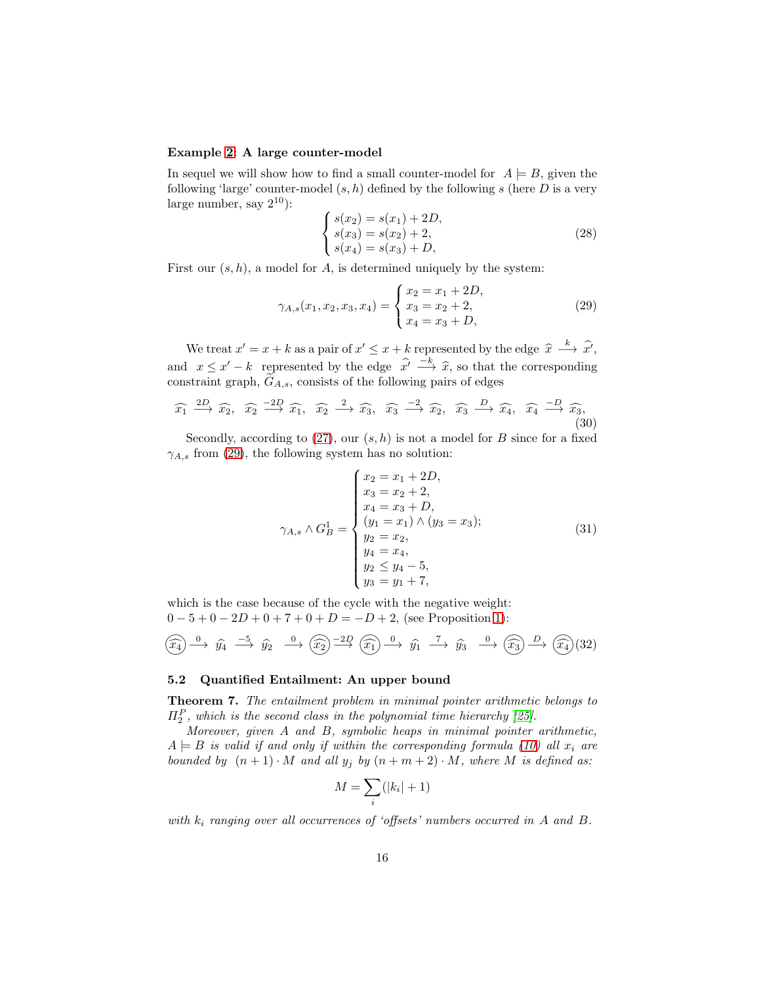## Example [2:](#page-13-1) A large counter-model

In sequel we will show how to find a small counter-model for  $A \models B$ , given the following 'large' counter-model  $(s, h)$  defined by the following s (here D is a very large number, say  $2^{10}$ :

$$
\begin{cases}\ns(x_2) = s(x_1) + 2D, \\
s(x_3) = s(x_2) + 2, \\
s(x_4) = s(x_3) + D,\n\end{cases}
$$
\n(28)

First our  $(s, h)$ , a model for A, is determined uniquely by the system:

<span id="page-15-1"></span>
$$
\gamma_{A,s}(x_1, x_2, x_3, x_4) = \begin{cases} x_2 = x_1 + 2D, \\ x_3 = x_2 + 2, \\ x_4 = x_3 + D, \end{cases}
$$
 (29)

We treat  $x' = x + k$  as a pair of  $x' \le x + k$  represented by the edge  $\hat{x} \stackrel{k}{\longrightarrow} \hat{x'}$ , and  $x \leq x'-k$  represented by the edge  $\hat{x}' \stackrel{-k}{\longrightarrow} \hat{x}$ , so that the corresponding constraint graph,  $\widetilde{G}_{A,s}$ , consists of the following pairs of edges

$$
\widehat{x_1} \xrightarrow{2D} \widehat{x_2}, \widehat{x_2} \xrightarrow{-2D} \widehat{x_1}, \widehat{x_2} \xrightarrow{2} \widehat{x_3}, \widehat{x_3} \xrightarrow{-2} \widehat{x_2}, \widehat{x_3} \xrightarrow{D} \widehat{x_4}, \widehat{x_4} \xrightarrow{-D} \widehat{x_3}, \tag{30}
$$

Secondly, according to  $(27)$ , our  $(s, h)$  is not a model for B since for a fixed  $\gamma_{A,s}$  from [\(29\)](#page-15-1), the following system has no solution:

<span id="page-15-2"></span>
$$
\gamma_{A,s} \wedge G_B^1 = \begin{cases} x_2 = x_1 + 2D, \\ x_3 = x_2 + 2, \\ x_4 = x_3 + D, \\ (y_1 = x_1) \wedge (y_3 = x_3); \\ y_2 = x_2, \\ y_4 = x_4, \\ y_2 \le y_4 - 5, \\ y_3 = y_1 + 7, \end{cases} \tag{31}
$$

which is the case because of the cycle with the negative weight:  $0 - 5 + 0 - 2D + 0 + 7 + 0 + D = -D + 2$ , (see Proposition [1\)](#page-3-0):

<span id="page-15-3"></span>
$$
\widehat{(x_4)} \xrightarrow{0} \widehat{y_4} \xrightarrow{-5} \widehat{y_2} \xrightarrow{0} \widehat{(x_2)} \xrightarrow{-2D} \widehat{(x_1)} \xrightarrow{0} \widehat{y_1} \xrightarrow{7} \widehat{y_3} \xrightarrow{0} \widehat{(x_3)} \xrightarrow{D} \widehat{(x_4)}(32)
$$

## <span id="page-15-0"></span>5.2 Quantified Entailment: An upper bound

Theorem 7. The entailment problem in minimal pointer arithmetic belongs to  $\Pi_2^P$ , which is the second class in the polynomial time hierarchy [\[25\]](#page-21-12).

Moreover, given A and B, symbolic heaps in minimal pointer arithmetic,  $A \models B$  is valid if and only if within the corresponding formula [\(10\)](#page-8-2) all  $x_i$  are bounded by  $(n+1) \cdot M$  and all  $y_j$  by  $(n+m+2) \cdot M$ , where M is defined as:

$$
M = \sum_{i} (|k_i| + 1)
$$

with  $k_i$  ranging over all occurrences of 'offsets' numbers occurred in A and B.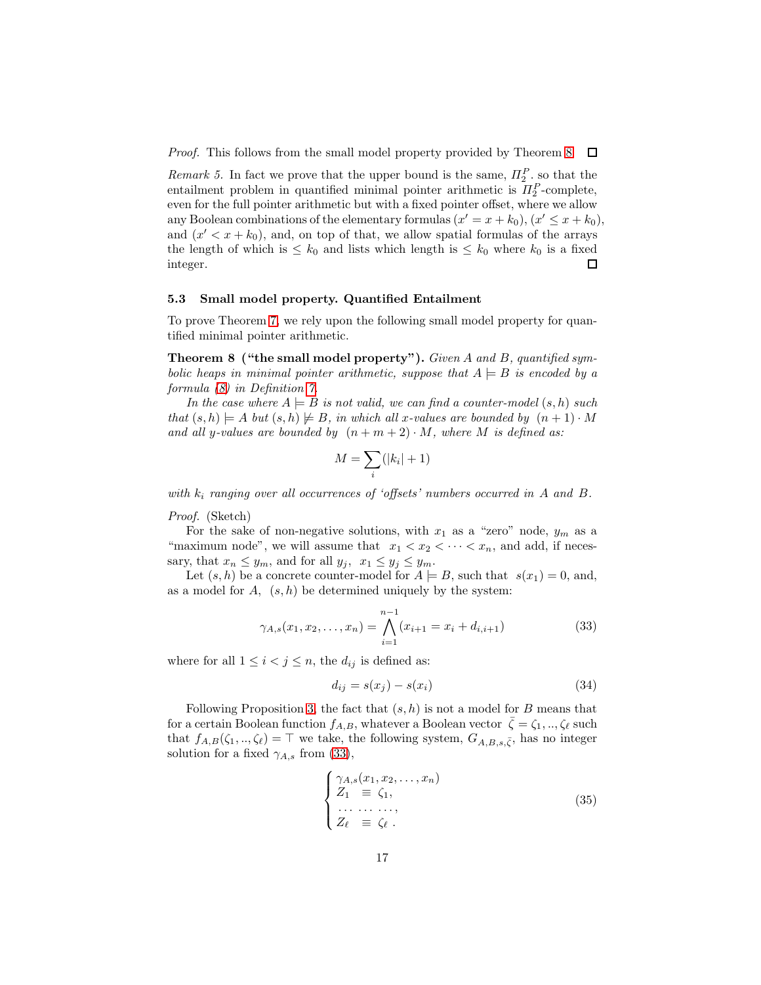Proof. This follows from the small model property provided by Theorem [8](#page-16-0)  $\Box$ 

Remark 5. In fact we prove that the upper bound is the same,  $\Pi_2^P$ , so that the entailment problem in quantified minimal pointer arithmetic is  $\Pi_2^P$ -complete, even for the full pointer arithmetic but with a fixed pointer offset, where we allow any Boolean combinations of the elementary formulas  $(x' = x + k_0), (x' \leq x + k_0)$ , and  $(x' < x + k_0)$ , and, on top of that, we allow spatial formulas of the arrays the length of which is  $\leq k_0$  and lists which length is  $\leq k_0$  where  $k_0$  is a fixed integer. П

### 5.3 Small model property. Quantified Entailment

<span id="page-16-0"></span>To prove Theorem [7,](#page-15-0) we rely upon the following small model property for quantified minimal pointer arithmetic.

Theorem 8 ("the small model property"). Given A and B, quantified symbolic heaps in minimal pointer arithmetic, suppose that  $A \models B$  is encoded by a formula [\(8\)](#page-8-3) in Definition [7.](#page-8-4)

In the case where  $A \models B$  is not valid, we can find a counter-model  $(s, h)$  such that  $(s, h) \models A$  but  $(s, h) \not\models B$ , in which all x-values are bounded by  $(n + 1) \cdot M$ and all y-values are bounded by  $(n + m + 2) \cdot M$ , where M is defined as:

$$
M = \sum_{i} (|k_i| + 1)
$$

with  $k_i$  ranging over all occurrences of 'offsets' numbers occurred in A and B.

Proof. (Sketch)

For the sake of non-negative solutions, with  $x_1$  as a "zero" node,  $y_m$  as a "maximum node", we will assume that  $x_1 < x_2 < \cdots < x_n$ , and add, if necessary, that  $x_n \leq y_m$ , and for all  $y_j$ ,  $x_1 \leq y_j \leq y_m$ .

Let  $(s, h)$  be a concrete counter-model for  $A \models B$ , such that  $s(x_1) = 0$ , and, as a model for  $A$ ,  $(s, h)$  be determined uniquely by the system:

<span id="page-16-1"></span>
$$
\gamma_{A,s}(x_1, x_2, \dots, x_n) = \bigwedge_{i=1}^{n-1} (x_{i+1} = x_i + d_{i,i+1})
$$
\n(33)

where for all  $1 \leq i < j \leq n$ , the  $d_{ij}$  is defined as:

$$
d_{ij} = s(x_j) - s(x_i) \tag{34}
$$

Following Proposition [3,](#page-6-3) the fact that  $(s, h)$  is not a model for B means that for a certain Boolean function  $f_{A,B}$ , whatever a Boolean vector  $\bar{\zeta} = \zeta_1, \ldots, \zeta_\ell$  such that  $f_{A,B}(\zeta_1, ..., \zeta_\ell) = \top$  we take, the following system,  $G_{A,B,s,\bar{\zeta}}$ , has no integer solution for a fixed  $\gamma_{A,s}$  from [\(33\)](#page-16-1),

<span id="page-16-2"></span>
$$
\begin{cases}\n\gamma_{A,s}(x_1, x_2, \dots, x_n) \\
Z_1 \equiv \zeta_1, \\
\vdots \\
Z_\ell \equiv \zeta_\ell.\n\end{cases}
$$
\n(35)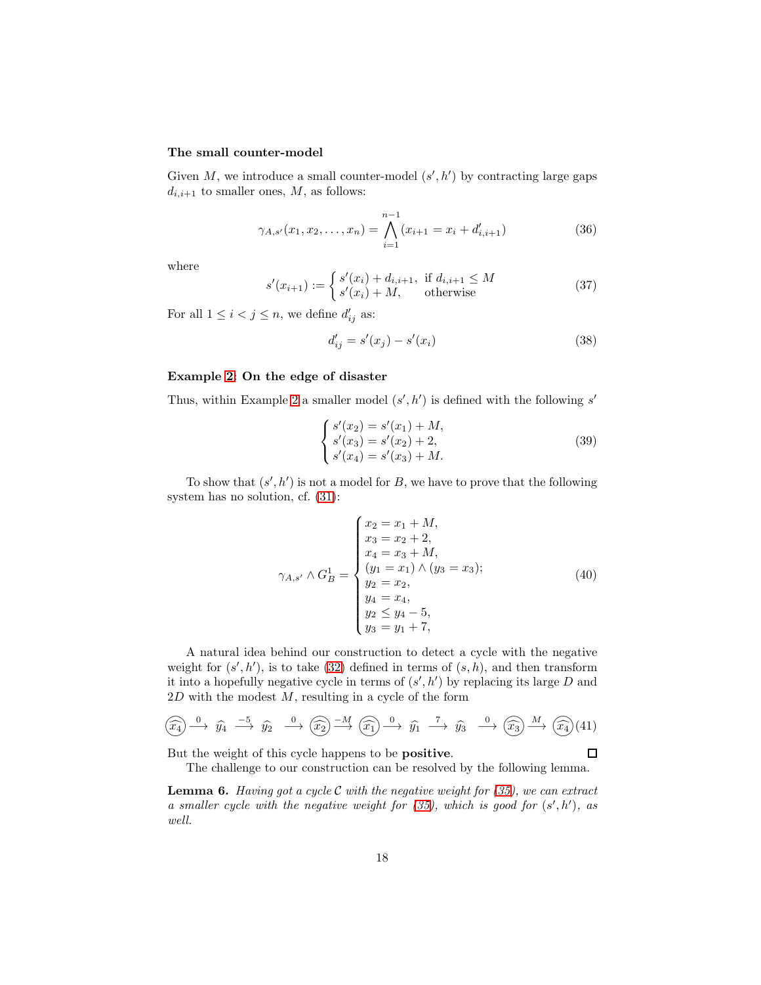#### The small counter-model

Given  $M$ , we introduce a small counter-model  $(s', h')$  by contracting large gaps  $d_{i,i+1}$  to smaller ones,  $M$ , as follows:

$$
\gamma_{A,s'}(x_1, x_2, \dots, x_n) = \bigwedge_{i=1}^{n-1} (x_{i+1} = x_i + d'_{i,i+1})
$$
\n(36)

where

$$
s'(x_{i+1}) := \begin{cases} s'(x_i) + d_{i,i+1}, & \text{if } d_{i,i+1} \le M \\ s'(x_i) + M, & \text{otherwise} \end{cases}
$$
(37)

For all  $1 \leq i < j \leq n$ , we define  $d'_{ij}$  as:

$$
d'_{ij} = s'(x_j) - s'(x_i)
$$
\n(38)

### Example [2:](#page-13-1) On the edge of disaster

Thus, within Example [2](#page-13-1) a smaller model  $(s', h')$  is defined with the following s'

$$
\begin{cases}\ns'(x_2) = s'(x_1) + M, \ns'(x_3) = s'(x_2) + 2, \ns'(x_4) = s'(x_3) + M.\n\end{cases}
$$
\n(39)

To show that  $(s', h')$  is not a model for B, we have to prove that the following system has no solution, cf. [\(31\)](#page-15-2):

$$
\gamma_{A,s'} \wedge G_B^1 = \begin{cases}\nx_2 = x_1 + M, \\
x_3 = x_2 + 2, \\
x_4 = x_3 + M, \\
(y_1 = x_1) \wedge (y_3 = x_3); \\
y_2 = x_2, \\
y_4 = x_4, \\
y_2 \le y_4 - 5, \\
y_3 = y_1 + 7,\n\end{cases} \tag{40}
$$

A natural idea behind our construction to detect a cycle with the negative weight for  $(s', h')$ , is to take [\(32\)](#page-15-3) defined in terms of  $(s, h)$ , and then transform it into a hopefully negative cycle in terms of  $(s', h')$  by replacing its large D and  $2D$  with the modest  $M$ , resulting in a cycle of the form

$$
\widehat{(x_4)} \xrightarrow{0} \widehat{y_4} \xrightarrow{-5} \widehat{y_2} \xrightarrow{0} \widehat{(x_2)} \xrightarrow{-M} \widehat{(x_1)} \xrightarrow{0} \widehat{y_1} \xrightarrow{7} \widehat{y_3} \xrightarrow{0} \widehat{(x_3)} \xrightarrow{M} \widehat{(x_4)}(41)
$$

But the weight of this cycle happens to be positive.

<span id="page-17-0"></span>
$$
\square
$$

The challenge to our construction can be resolved by the following lemma.

**Lemma 6.** Having got a cycle C with the negative weight for  $(35)$ , we can extract a smaller cycle with the negative weight for  $(35)$ , which is good for  $(s',h')$ , as well.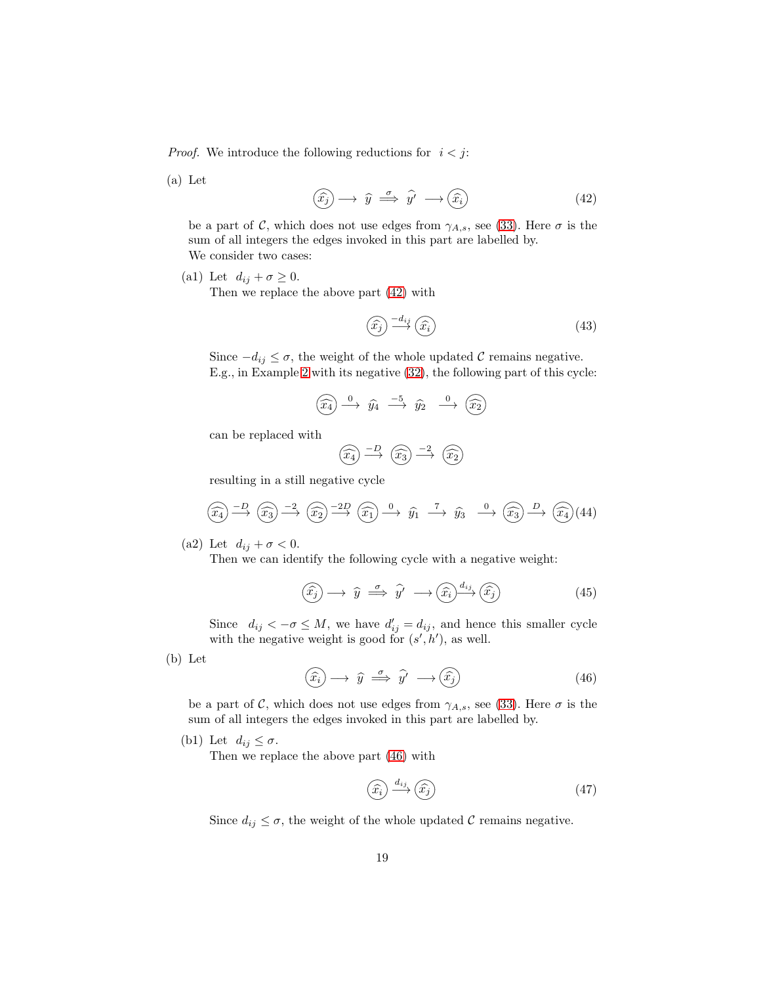*Proof.* We introduce the following reductions for  $i < j$ :

(a) Let

<span id="page-18-0"></span>
$$
(\widehat{x_j}) \longrightarrow \widehat{y} \stackrel{\sigma}{\implies} \widehat{y'} \longrightarrow (\widehat{x_i})
$$
\n(42)

be a part of C, which does not use edges from  $\gamma_{A,s}$ , see [\(33\)](#page-16-1). Here  $\sigma$  is the sum of all integers the edges invoked in this part are labelled by. We consider two cases:

(a1) Let  $d_{ij} + \sigma \geq 0$ .

Then we replace the above part [\(42\)](#page-18-0) with

$$
\widehat{(x_j)} \stackrel{-d_{ij}}{\longrightarrow} \widehat{(x_i)}
$$
\n(43)

Since  $-d_{ij} \leq \sigma$ , the weight of the whole updated C remains negative. E.g., in Example [2](#page-13-1) with its negative [\(32\)](#page-15-3), the following part of this cycle:

$$
\widehat{(x_4)} \xrightarrow{0} \widehat{y_4} \xrightarrow{-5} \widehat{y_2} \xrightarrow{0} \widehat{(x_2)}
$$

can be replaced with

$$
\widehat{(x_4)} \xrightarrow{-D} \widehat{(x_3)} \xrightarrow{-2} \widehat{(x_2)}
$$

resulting in a still negative cycle

$$
\widehat{(x_4)} \xrightarrow{-D} \widehat{(x_3)} \xrightarrow{-2} \widehat{(x_2)} \xrightarrow{-2D} \widehat{(x_1)} \xrightarrow{0} \widehat{y_1} \xrightarrow{\tau} \widehat{y_3} \xrightarrow{0} \widehat{(x_3)} \xrightarrow{D} \widehat{(x_4)}(44)
$$

(a2) Let  $d_{ij} + \sigma < 0$ .

Then we can identify the following cycle with a negative weight:

$$
(\widehat{x_j}) \longrightarrow \widehat{y} \stackrel{\sigma}{\implies} \widehat{y'} \longrightarrow (\widehat{x_i})^{\underline{d_{ij}}}\widetilde{x_j})
$$
\n(45)

Since  $d_{ij} < -\sigma \leq M$ , we have  $d'_{ij} = d_{ij}$ , and hence this smaller cycle with the negative weight is good for  $(s', h')$ , as well.

(b) Let

<span id="page-18-1"></span>
$$
(\widehat{x_i}) \longrightarrow \widehat{y} \stackrel{\sigma}{\implies} \widehat{y'} \longrightarrow (\widehat{x_j})
$$
\n(46)

be a part of C, which does not use edges from  $\gamma_{A,s}$ , see [\(33\)](#page-16-1). Here  $\sigma$  is the sum of all integers the edges invoked in this part are labelled by.

(b1) Let  $d_{ij} \leq \sigma$ .

Then we replace the above part [\(46\)](#page-18-1) with

$$
\left(\widehat{x_i}\right) \xrightarrow{d_{ij}} \left(\widehat{x_j}\right) \tag{47}
$$

Since  $d_{ij} \leq \sigma$ , the weight of the whole updated C remains negative.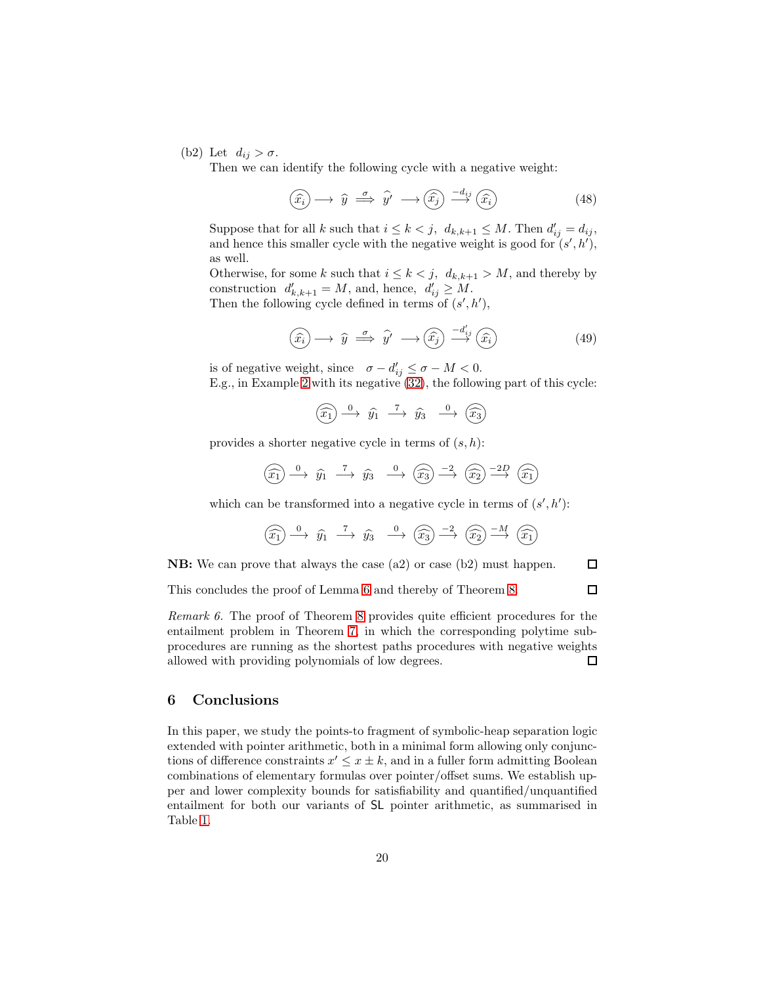(b2) Let  $d_{ij} > \sigma$ .

Then we can identify the following cycle with a negative weight:

$$
(\widehat{x_i}) \longrightarrow \widehat{y} \stackrel{\sigma}{\implies} \widehat{y'} \longrightarrow (\widehat{x_j}) \stackrel{-d_{ij}}{\longrightarrow} (\widehat{x_i})
$$
\n(48)

Suppose that for all k such that  $i \leq k < j$ ,  $d_{k,k+1} \leq M$ . Then  $d'_{ij} = d_{ij}$ , and hence this smaller cycle with the negative weight is good for  $(s', h')$ , as well.

Otherwise, for some k such that  $i \leq k < j$ ,  $d_{k,k+1} > M$ , and thereby by construction  $d'_{k,k+1} = M$ , and, hence,  $d'_{ij} \geq M$ . Then the following cycle defined in terms of  $(s', h')$ ,

$$
(\widehat{x_i}) \longrightarrow \widehat{y} \stackrel{\sigma}{\implies} \widehat{y'} \longrightarrow (\widehat{x_j}) \stackrel{-d'_{ij}}{\longrightarrow} (\widehat{x_i})
$$
\n(49)

is of negative weight, since  $\sigma - d'_{ij} \leq \sigma - M < 0$ .

E.g., in Example [2](#page-13-1) with its negative [\(32\)](#page-15-3), the following part of this cycle:

 $(\widehat{x_1}) \xrightarrow{0} \widehat{y_1} \xrightarrow{7} \widehat{y_3} \xrightarrow{0} (\widehat{x_3})$ 

provides a shorter negative cycle in terms of  $(s, h)$ :

$$
\widehat{(x_1)} \xrightarrow{0} \widehat{y_1} \xrightarrow{7} \widehat{y_3} \xrightarrow{0} \widehat{(x_3)} \xrightarrow{-2} \widehat{(x_2)} \xrightarrow{-2D} \widehat{(x_1)}
$$

which can be transformed into a negative cycle in terms of  $(s', h')$ :

$$
\widehat{(x_1)} \xrightarrow{0} \widehat{y_1} \xrightarrow{7} \widehat{y_3} \xrightarrow{0} \widehat{(x_3)} \xrightarrow{-2} \widehat{(x_2)} \xrightarrow{-M} \widehat{(x_1)}
$$

NB: We can prove that always the case (a2) or case (b2) must happen. □

This concludes the proof of Lemma [6](#page-17-0) and thereby of Theorem [8.](#page-16-0)

 $\Box$ 

Remark 6. The proof of Theorem [8](#page-16-0) provides quite efficient procedures for the entailment problem in Theorem [7,](#page-15-0) in which the corresponding polytime subprocedures are running as the shortest paths procedures with negative weights allowed with providing polynomials of low degrees.  $\Box$ 

## <span id="page-19-0"></span>6 Conclusions

In this paper, we study the points-to fragment of symbolic-heap separation logic extended with pointer arithmetic, both in a minimal form allowing only conjunctions of difference constraints  $x' \leq x \pm k$ , and in a fuller form admitting Boolean combinations of elementary formulas over pointer/offset sums. We establish upper and lower complexity bounds for satisfiability and quantified/unquantified entailment for both our variants of SL pointer arithmetic, as summarised in Table [1.](#page-2-0)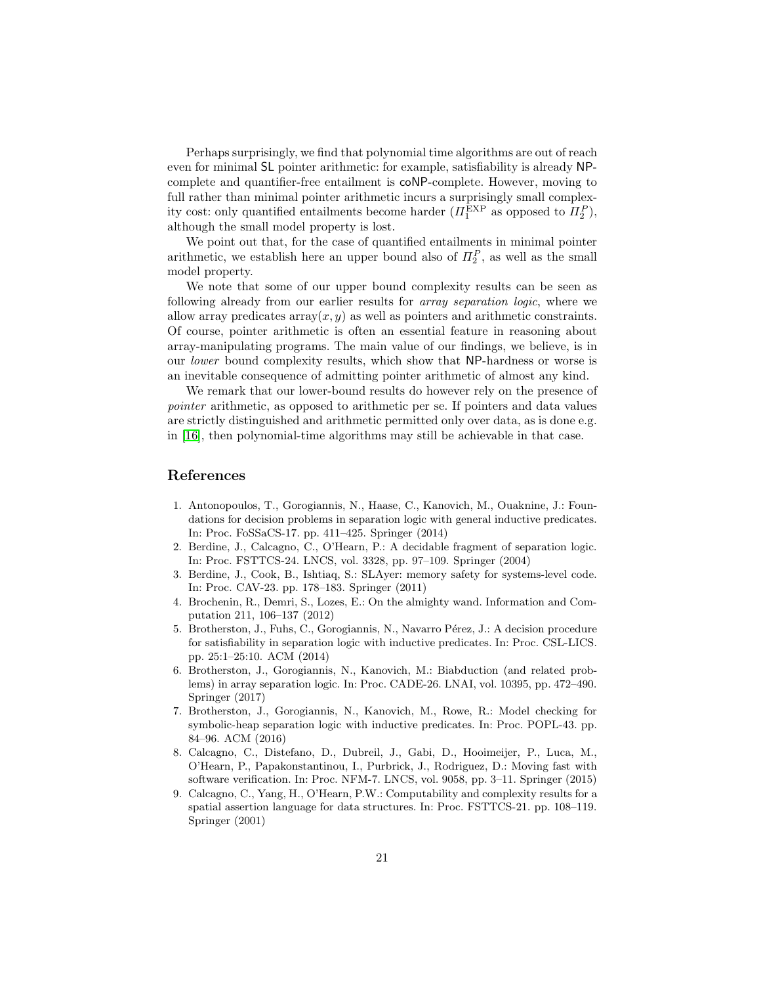Perhaps surprisingly, we find that polynomial time algorithms are out of reach even for minimal SL pointer arithmetic: for example, satisfiability is already NPcomplete and quantifier-free entailment is coNP-complete. However, moving to full rather than minimal pointer arithmetic incurs a surprisingly small complexity cost: only quantified entailments become harder  $(\Pi_1^{\text{EXP}}$  as opposed to  $\Pi_2^P$ ), although the small model property is lost.

We point out that, for the case of quantified entailments in minimal pointer arithmetic, we establish here an upper bound also of  $\Pi_2^P$ , as well as the small model property.

We note that some of our upper bound complexity results can be seen as following already from our earlier results for array separation logic, where we allow array predicates  $\arctan(x, y)$  as well as pointers and arithmetic constraints. Of course, pointer arithmetic is often an essential feature in reasoning about array-manipulating programs. The main value of our findings, we believe, is in our lower bound complexity results, which show that NP-hardness or worse is an inevitable consequence of admitting pointer arithmetic of almost any kind.

We remark that our lower-bound results do however rely on the presence of pointer arithmetic, as opposed to arithmetic per se. If pointers and data values are strictly distinguished and arithmetic permitted only over data, as is done e.g. in [\[16\]](#page-21-17), then polynomial-time algorithms may still be achievable in that case.

# References

- <span id="page-20-5"></span>1. Antonopoulos, T., Gorogiannis, N., Haase, C., Kanovich, M., Ouaknine, J.: Foundations for decision problems in separation logic with general inductive predicates. In: Proc. FoSSaCS-17. pp. 411–425. Springer (2014)
- <span id="page-20-2"></span>2. Berdine, J., Calcagno, C., O'Hearn, P.: A decidable fragment of separation logic. In: Proc. FSTTCS-24. LNCS, vol. 3328, pp. 97–109. Springer (2004)
- <span id="page-20-1"></span>3. Berdine, J., Cook, B., Ishtiaq, S.: SLAyer: memory safety for systems-level code. In: Proc. CAV-23. pp. 178–183. Springer (2011)
- <span id="page-20-8"></span>4. Brochenin, R., Demri, S., Lozes, E.: On the almighty wand. Information and Computation 211, 106–137 (2012)
- <span id="page-20-3"></span>5. Brotherston, J., Fuhs, C., Gorogiannis, N., Navarro Pérez, J.: A decision procedure for satisfiability in separation logic with inductive predicates. In: Proc. CSL-LICS. pp. 25:1–25:10. ACM (2014)
- <span id="page-20-6"></span>6. Brotherston, J., Gorogiannis, N., Kanovich, M.: Biabduction (and related problems) in array separation logic. In: Proc. CADE-26. LNAI, vol. 10395, pp. 472–490. Springer (2017)
- <span id="page-20-4"></span>7. Brotherston, J., Gorogiannis, N., Kanovich, M., Rowe, R.: Model checking for symbolic-heap separation logic with inductive predicates. In: Proc. POPL-43. pp. 84–96. ACM (2016)
- <span id="page-20-0"></span>8. Calcagno, C., Distefano, D., Dubreil, J., Gabi, D., Hooimeijer, P., Luca, M., O'Hearn, P., Papakonstantinou, I., Purbrick, J., Rodriguez, D.: Moving fast with software verification. In: Proc. NFM-7. LNCS, vol. 9058, pp. 3–11. Springer (2015)
- <span id="page-20-7"></span>9. Calcagno, C., Yang, H., O'Hearn, P.W.: Computability and complexity results for a spatial assertion language for data structures. In: Proc. FSTTCS-21. pp. 108–119. Springer (2001)